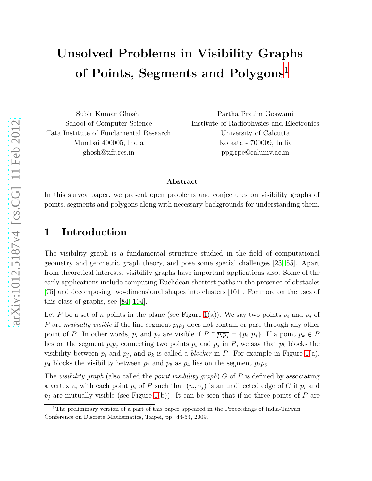# Unsolved Problems in Visibility Graphs of Points, Segments and Polygons<sup>[1](#page-0-0)</sup>

Subir Kumar Ghosh School of Computer Science Tata Institute of Fundamental Research Mumbai 400005, India ghosh@tifr.res.in

Partha Pratim Goswami Institute of Radiophysics and Electronics University of Calcutta Kolkata - 700009, India ppg.rpe@caluniv.ac.in

#### Abstract

In this survey paper, we present open problems and conjectures on visibility graphs of points, segments and polygons along with necessary backgrounds for understanding them.

## <span id="page-0-1"></span>1 Introduction

The visibility graph is a fundamental structure studied in the field of computational geometry and geometric graph theory, and pose some special challenges [\[23,](#page-30-0) [55\]](#page-32-0). Apart from theoretical interests, visibility graphs have important applications also. Some of the early applications include computing Euclidean shortest paths in the presence of obstacles [\[75\]](#page-34-0) and decomposing two-dimensional shapes into clusters [\[101\]](#page-36-0). For more on the uses of this class of graphs, see [\[84,](#page-35-0) [104\]](#page-36-1).

Let P be a set of n points in the plane (see Figure [1\(](#page-1-0)a)). We say two points  $p_i$  and  $p_j$  of P are mutually visible if the line segment  $p_i p_j$  does not contain or pass through any other point of P. In other words,  $p_i$  and  $p_j$  are visible if  $P \cap \overline{p_i p_j} = \{p_i, p_j\}$ . If a point  $p_k \in P$ lies on the segment  $p_i p_j$  connecting two points  $p_i$  and  $p_j$  in P, we say that  $p_k$  blocks the visibility between  $p_i$  and  $p_j$ , and  $p_k$  is called a *blocker* in P. For example in Figure [1\(](#page-1-0)a),  $p_4$  blocks the visibility between  $p_2$  and  $p_6$  as  $p_4$  lies on the segment  $p_2p_6$ .

The visibility graph (also called the point visibility graph)  $G$  of P is defined by associating a vertex  $v_i$  with each point  $p_i$  of P such that  $(v_i, v_j)$  is an undirected edge of G if  $p_i$  and  $p_j$  are mutually visible (see Figure [1\(](#page-1-0)b)). It can be seen that if no three points of P are

<span id="page-0-0"></span><sup>&</sup>lt;sup>1</sup>The preliminary version of a part of this paper appeared in the Proceedings of India-Taiwan Conference on Discrete Mathematics, Taipei, pp. 44-54, 2009.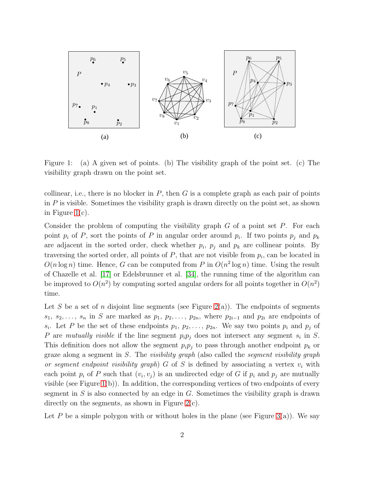

<span id="page-1-0"></span>Figure 1: (a) A given set of points. (b) The visibility graph of the point set. (c) The visibility graph drawn on the point set.

collinear, i.e., there is no blocker in  $P$ , then  $G$  is a complete graph as each pair of points in  $P$  is visible. Sometimes the visibility graph is drawn directly on the point set, as shown in Figure [1\(](#page-1-0)c).

Consider the problem of computing the visibility graph  $G$  of a point set  $P$ . For each point  $p_i$  of P, sort the points of P in angular order around  $p_i$ . If two points  $p_j$  and  $p_k$ are adjacent in the sorted order, check whether  $p_i$ ,  $p_j$  and  $p_k$  are collinear points. By traversing the sorted order, all points of  $P$ , that are not visible from  $p_i$ , can be located in  $O(n \log n)$  time. Hence, G can be computed from P in  $O(n^2 \log n)$  time. Using the result of Chazelle et al. [\[17\]](#page-30-1) or Edelsbrunner et al. [\[34\]](#page-31-0), the running time of the algorithm can be improved to  $O(n^2)$  by computing sorted angular orders for all points together in  $O(n^2)$ time.

Let S be a set of n disjoint line segments (see Figure [2\(](#page-2-0)a)). The endpoints of segments  $s_1, s_2, \ldots, s_n$  in S are marked as  $p_1, p_2, \ldots, p_{2n}$ , where  $p_{2i-1}$  and  $p_{2i}$  are endpoints of  $s_i$ . Let P be the set of these endpoints  $p_1, p_2, \ldots, p_{2n}$ . We say two points  $p_i$  and  $p_j$  of P are mutually visible if the line segment  $p_i p_j$  does not intersect any segment  $s_i$  in S. This definition does not allow the segment  $p_i p_j$  to pass through another endpoint  $p_k$  or graze along a segment in S. The *visibility graph* (also called the *segment visibility graph* or segment endpoint visibility graph) G of S is defined by associating a vertex  $v_i$  with each point  $p_i$  of P such that  $(v_i, v_j)$  is an undirected edge of G if  $p_i$  and  $p_j$  are mutually visible (see Figure [1\(](#page-1-0)b)). In addition, the corresponding vertices of two endpoints of every segment in  $S$  is also connected by an edge in  $G$ . Sometimes the visibility graph is drawn directly on the segments, as shown in Figure [2\(](#page-2-0)c).

Let P be a simple polygon with or without holes in the plane (see Figure [3\(](#page-2-1)a)). We say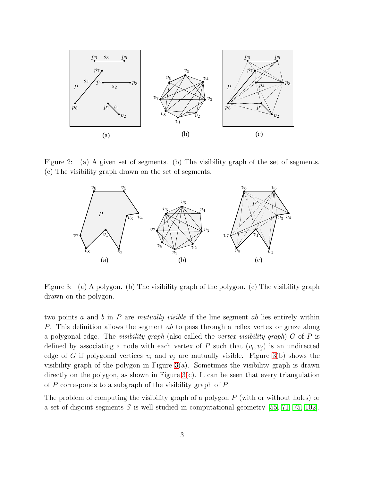

Figure 2: (a) A given set of segments. (b) The visibility graph of the set of segments. (c) The visibility graph drawn on the set of segments.

<span id="page-2-0"></span>

<span id="page-2-1"></span>Figure 3: (a) A polygon. (b) The visibility graph of the polygon. (c) The visibility graph drawn on the polygon.

two points  $a$  and  $b$  in  $P$  are mutually visible if the line segment  $ab$  lies entirely within P. This definition allows the segment ab to pass through a reflex vertex or graze along a polygonal edge. The *visibility graph* (also called the *vertex visibility graph*)  $G$  of  $P$  is defined by associating a node with each vertex of P such that  $(v_i, v_j)$  is an undirected edge of G if polygonal vertices  $v_i$  and  $v_j$  are mutually visible. Figure [3\(](#page-2-1)b) shows the visibility graph of the polygon in Figure  $3(a)$ . Sometimes the visibility graph is drawn directly on the polygon, as shown in Figure [3\(](#page-2-1)c). It can be seen that every triangulation of P corresponds to a subgraph of the visibility graph of P.

The problem of computing the visibility graph of a polygon  $P$  (with or without holes) or a set of disjoint segments  $S$  is well studied in computational geometry [\[55,](#page-32-0) [71,](#page-34-1) [75,](#page-34-0) [102\]](#page-36-2).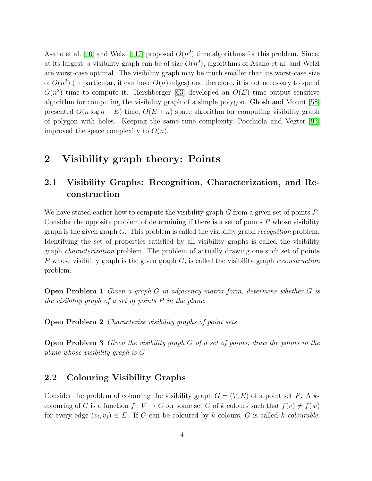Asano et al. [\[10\]](#page-29-0) and Welzl [\[117\]](#page-37-0) proposed  $O(n^2)$  time algorithms for this problem. Since, at its largest, a visibility graph can be of size  $O(n^2)$ , algorithms of Asano et al. and Welzl are worst-case optimal. The visibility graph may be much smaller than its worst-case size of  $O(n^2)$  (in particular, it can have  $O(n)$  edges) and therefore, it is not necessary to spend  $O(n^2)$  time to compute it. Hershberger [\[63\]](#page-33-0) developed an  $O(E)$  time output sensitive algorithm for computing the visibility graph of a simple polygon. Ghosh and Mount [\[58\]](#page-33-1) presented  $O(n \log n + E)$  time,  $O(E + n)$  space algorithm for computing visibility graph of polygon with holes. Keeping the same time complexity, Pocchiola and Vegter [\[93\]](#page-35-1) improved the space complexity to  $O(n)$ .

## 2 Visibility graph theory: Points

## 2.1 Visibility Graphs: Recognition, Characterization, and Reconstruction

We have stated earlier how to compute the visibility graph G from a given set of points P. Consider the opposite problem of determining if there is a set of points P whose visibility graph is the given graph  $G$ . This problem is called the visibility graph *recognition* problem. Identifying the set of properties satisfied by all visibility graphs is called the visibility graph characterization problem. The problem of actually drawing one such set of points P whose visibility graph is the given graph  $G$ , is called the visibility graph *reconstruction* problem.

Open Problem 1 Given a graph G in adjacency matrix form, determine whether G is the visibility graph of a set of points  $P$  in the plane.

Open Problem 2 Characterize visibility graphs of point sets.

**Open Problem 3** Given the visibility graph  $G$  of a set of points, draw the points in the plane whose visibility graph is G.

#### 2.2 Colouring Visibility Graphs

Consider the problem of colouring the visibility graph  $G = (V, E)$  of a point set P. A kcolouring of G is a function  $f: V \to C$  for some set C of k colours such that  $f(v) \neq f(w)$ for every edge  $(v_i, v_j) \in E$ . If G can be coloured by k colours, G is called k-colourable.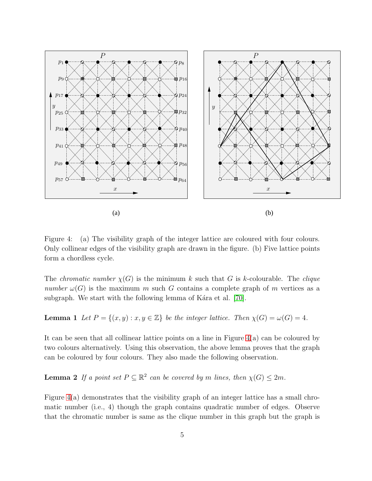

<span id="page-4-0"></span>Figure 4: (a) The visibility graph of the integer lattice are coloured with four colours. Only collinear edges of the visibility graph are drawn in the figure. (b) Five lattice points form a chordless cycle.

The *chromatic number*  $\chi(G)$  is the minimum k such that G is k-colourable. The *clique* number  $\omega(G)$  is the maximum m such G contains a complete graph of m vertices as a subgraph. We start with the following lemma of K $á$ ra et al. [\[70\]](#page-34-2).

**Lemma 1** Let  $P = \{(x, y) : x, y \in \mathbb{Z}\}$  be the integer lattice. Then  $\chi(G) = \omega(G) = 4$ .

It can be seen that all collinear lattice points on a line in Figure [4\(](#page-4-0)a) can be coloured by two colours alternatively. Using this observation, the above lemma proves that the graph can be coloured by four colours. They also made the following observation.

**Lemma 2** If a point set  $P \subseteq \mathbb{R}^2$  can be covered by m lines, then  $\chi(G) \leq 2m$ .

Figure [4\(](#page-4-0)a) demonstrates that the visibility graph of an integer lattice has a small chromatic number (i.e., 4) though the graph contains quadratic number of edges. Observe that the chromatic number is same as the clique number in this graph but the graph is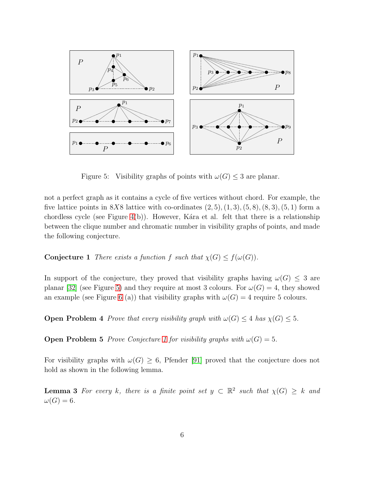

<span id="page-5-0"></span>Figure 5: Visibility graphs of points with  $\omega(G) \leq 3$  are planar.

not a perfect graph as it contains a cycle of five vertices without chord. For example, the five lattice points in 8X8 lattice with co-ordinates  $(2, 5), (1, 3), (5, 8), (8, 3), (5, 1)$  form a chordless cycle (see Figure [4\(](#page-4-0)b)). However, K $ára$  et al. felt that there is a relationship between the clique number and chromatic number in visibility graphs of points, and made the following conjecture.

<span id="page-5-1"></span>**Conjecture 1** There exists a function f such that  $\chi(G) \leq f(\omega(G))$ .

In support of the conjecture, they proved that visibility graphs having  $\omega(G) \leq 3$  are planar [\[32\]](#page-31-1) (see Figure [5\)](#page-5-0) and they require at most 3 colours. For  $\omega(G) = 4$ , they showed an example (see Figure [6](#page-6-0) (a)) that visibility graphs with  $\omega(G) = 4$  require 5 colours.

**Open Problem 4** Prove that every visibility graph with  $\omega(G) \leq 4$  has  $\chi(G) \leq 5$ .

**Open Problem 5** Prove Conjecture [1](#page-5-1) for visibility graphs with  $\omega(G) = 5$ .

For visibility graphs with  $\omega(G) \geq 6$ , Pfender [\[91\]](#page-35-2) proved that the conjecture does not hold as shown in the following lemma.

**Lemma 3** For every k, there is a finite point set  $y \text{ }\subset \mathbb{R}^2$  such that  $\chi(G) \geq k$  and  $\omega(G) = 6.$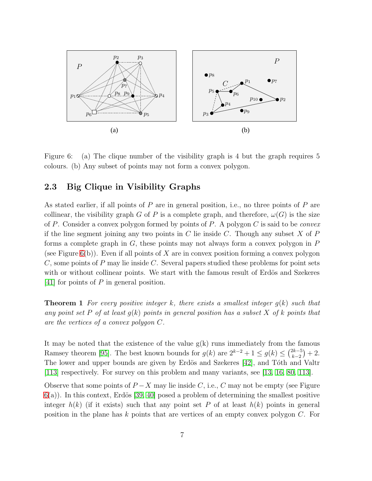

<span id="page-6-0"></span>Figure 6: (a) The clique number of the visibility graph is 4 but the graph requires 5 colours. (b) Any subset of points may not form a convex polygon.

#### 2.3 Big Clique in Visibility Graphs

As stated earlier, if all points of  $P$  are in general position, i.e., no three points of  $P$  are collinear, the visibility graph G of P is a complete graph, and therefore,  $\omega(G)$  is the size of P. Consider a convex polygon formed by points of P. A polygon C is said to be *convex* if the line segment joining any two points in  $C$  lie inside  $C$ . Though any subset  $X$  of  $P$ forms a complete graph in  $G$ , these points may not always form a convex polygon in  $P$ (see Figure  $6(b)$ ). Even if all points of X are in convex position forming a convex polygon C, some points of P may lie inside C. Several papers studied these problems for point sets with or without collinear points. We start with the famous result of Erdös and Szekeres [\[41\]](#page-31-2) for points of P in general position.

**Theorem 1** For every positive integer k, there exists a smallest integer  $g(k)$  such that any point set P of at least  $g(k)$  points in general position has a subset X of k points that are the vertices of a convex polygon C.

It may be noted that the existence of the value  $g(k)$  runs immediately from the famous Ramsey theorem [\[95\]](#page-35-3). The best known bounds for  $g(k)$  are  $2^{k-2} + 1 \le g(k) \le {2k-5 \choose k-2}$  $\binom{2k-5}{k-2}+2.$ The lower and upper bounds are given by Erdös and Szekeres [\[42\]](#page-31-3), and Tóth and Valtr [\[113\]](#page-37-1) respectively. For survey on this problem and many variants, see [\[13,](#page-29-1) [16,](#page-30-2) [80,](#page-34-3) [113\]](#page-37-1).

Observe that some points of  $P-X$  may lie inside C, i.e., C may not be empty (see Figure  $6(a)$  $6(a)$ ). In this context, Erdös [\[39,](#page-31-4) [40\]](#page-31-5) posed a problem of determining the smallest positive integer  $h(k)$  (if it exists) such that any point set P of at least  $h(k)$  points in general position in the plane has k points that are vertices of an empty convex polygon  $C$ . For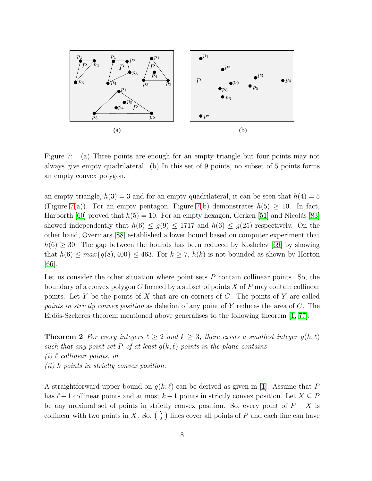

<span id="page-7-0"></span>Figure 7: (a) Three points are enough for an empty triangle but four points may not always give empty quadrilateral. (b) In this set of 9 points, no subset of 5 points forms an empty convex polygon.

an empty triangle,  $h(3) = 3$  and for an empty quadrilateral, it can be seen that  $h(4) = 5$ (Figure [7\(](#page-7-0)a)). For an empty pentagon, Figure 7(b) demonstrates  $h(5) \geq 10$ . In fact, Harborth [\[60\]](#page-33-2) proved that  $h(5) = 10$ . For an empty hexagon, Gerken [\[51\]](#page-32-1) and Nicolás [\[83\]](#page-35-4) showed independently that  $h(6) \leq g(9) \leq 1717$  and  $h(6) \leq g(25)$  respectively. On the other hand, Overmars [\[88\]](#page-35-5) established a lower bound based on computer experiment that  $h(6) \geq 30$ . The gap between the bounds has been reduced by Koshelev [\[69\]](#page-33-3) by showing that  $h(6) \leq max\{g(8), 400\} \leq 463$ . For  $k \geq 7$ ,  $h(k)$  is not bounded as shown by Horton [\[66\]](#page-33-4).

Let us consider the other situation where point sets  $P$  contain collinear points. So, the boundary of a convex polygon  $C$  formed by a subset of points  $X$  of  $P$  may contain collinear points. Let Y be the points of X that are on corners of C. The points of Y are called points in strictly convex position as deletion of any point of Y reduces the area of C. The Erdös-Szekeres theorem mentioned above generalises to the following theorem  $[1, 77]$  $[1, 77]$ .

<span id="page-7-1"></span>**Theorem 2** For every integers  $\ell \geq 2$  and  $k \geq 3$ , there exists a smallest integer  $g(k, \ell)$ such that any point set P of at least  $g(k, \ell)$  points in the plane contains  $(i) \ell$  collinear points, or (ii) k points in strictly convex position.

A straightforward upper bound on  $g(k, \ell)$  can be derived as given in [\[1\]](#page-28-0). Assume that P has  $\ell-1$  collinear points and at most  $k-1$  points in strictly convex position. Let  $X \subseteq P$ be any maximal set of points in strictly convex position. So, every point of  $P - X$  is collinear with two points in X. So,  $\binom{|X|}{2}$  lines cover all points of P and each line can have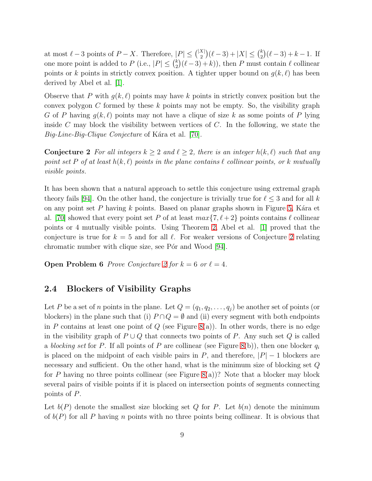at most  $\ell - 3$  points of  $P - X$ . Therefore,  $|P| \leq {\binom{|X|}{2}} (\ell - 3) + |X| \leq {\binom{k}{2}}$  $\binom{k}{2}(\ell-3)+k-1$ . If one more point is added to  $P$  (i.e.,  $|P| \leq {k \choose 2}$  $\binom{k}{2}(\ell-3)+k),$  then P must contain  $\ell$  collinear points or k points in strictly convex position. A tighter upper bound on  $g(k, \ell)$  has been derived by Abel et al. [\[1\]](#page-28-0).

Observe that P with  $g(k, \ell)$  points may have k points in strictly convex position but the convex polygon C formed by these  $k$  points may not be empty. So, the visibility graph G of P having  $g(k, \ell)$  points may not have a clique of size k as some points of P lying inside C may block the visibility between vertices of C. In the following, we state the  $Big\right.$  Big-Line-Big-Clique Conjecture of Kara et al. [\[70\]](#page-34-2).

<span id="page-8-0"></span>**Conjecture 2** For all integers  $k \geq 2$  and  $\ell \geq 2$ , there is an integer  $h(k, \ell)$  such that any point set P of at least  $h(k, \ell)$  points in the plane contains  $\ell$  collinear points, or k mutually visible points.

It has been shown that a natural approach to settle this conjecture using extremal graph theory fails [\[94\]](#page-35-6). On the other hand, the conjecture is trivially true for  $\ell \leq 3$  and for all k on any point set  $P$  having  $k$  points. Based on planar graphs shown in Figure [5,](#page-5-0) Kara et al. [\[70\]](#page-34-2) showed that every point set P of at least  $max\{7, \ell + 2\}$  points contains  $\ell$  collinear points or 4 mutually visible points. Using Theorem [2,](#page-7-1) Abel et al. [\[1\]](#page-28-0) proved that the conjecture is true for  $k = 5$  and for all  $\ell$ . For weaker versions of Conjecture [2](#page-8-0) relating chromatic number with clique size, see P $\acute{o}r$  and Wood [\[94\]](#page-35-6).

**Open Problem 6** Prove Conjecture [2](#page-8-0) for  $k = 6$  or  $\ell = 4$ .

#### 2.4 Blockers of Visibility Graphs

Let P be a set of n points in the plane. Let  $Q = (q_1, q_2, \ldots, q_i)$  be another set of points (or blockers) in the plane such that (i)  $P \cap Q = \emptyset$  and (ii) every segment with both endpoints in P contains at least one point of  $Q$  (see Figure [8\(](#page-9-0)a)). In other words, there is no edge in the visibility graph of  $P \cup Q$  that connects two points of P. Any such set Q is called a blocking set for P. If all points of P are collinear (see Figure [8\(](#page-9-0)b)), then one blocker  $q_i$ is placed on the midpoint of each visible pairs in P, and therefore,  $|P| - 1$  blockers are necessary and sufficient. On the other hand, what is the minimum size of blocking set Q for P having no three points collinear (see Figure  $(8(a))^2$ ). Note that a blocker may block several pairs of visible points if it is placed on intersection points of segments connecting points of P.

Let  $b(P)$  denote the smallest size blocking set Q for P. Let  $b(n)$  denote the minimum of  $b(P)$  for all P having n points with no three points being collinear. It is obvious that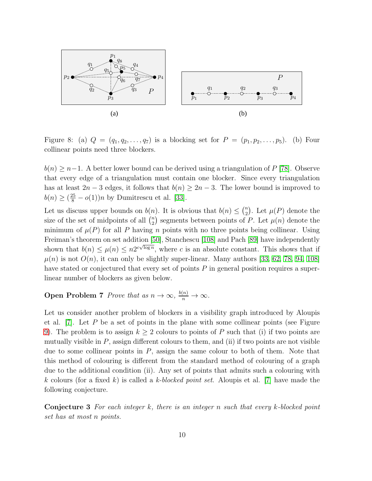

<span id="page-9-0"></span>Figure 8: (a)  $Q = (q_1, q_2, ..., q_7)$  is a blocking set for  $P = (p_1, p_2, ..., p_5)$ . (b) Four collinear points need three blockers.

 $b(n) \geq n-1$ . A better lower bound can be derived using a triangulation of P [\[78\]](#page-34-5). Observe that every edge of a triangulation must contain one blocker. Since every triangulation has at least  $2n-3$  edges, it follows that  $b(n) \geq 2n-3$ . The lower bound is improved to  $b(n) \ge (\frac{25}{8} - o(1))n$  by Dumitrescu et al. [\[33\]](#page-31-6).

Let us discuss upper bounds on  $b(n)$ . It is obvious that  $b(n) \leq {n \choose 2}$  $n_2$ . Let  $\mu(P)$  denote the size of the set of midpoints of all  $\binom{n}{2}$  $\binom{n}{2}$  segments between points of P. Let  $\mu(n)$  denote the minimum of  $\mu(P)$  for all P having n points with no three points being collinear. Using Freiman's theorem on set addition [\[50\]](#page-32-2), Stanchescu [\[108\]](#page-36-3) and Pach [\[89\]](#page-35-7) have independently shown that  $b(n) \leq \mu(n) \leq n2^{c\sqrt{\log n}}$ , where c is an absolute constant. This shows that if  $\mu(n)$  is not  $O(n)$ , it can only be slightly super-linear. Many authors [\[33,](#page-31-6) [62,](#page-33-5) [78,](#page-34-5) [94,](#page-35-6) [108\]](#page-36-3) have stated or conjectured that every set of points P in general position requires a superlinear number of blockers as given below.

**Open Problem 7** Prove that as  $n \to \infty$ ,  $\frac{b(n)}{n} \to \infty$ .

Let us consider another problem of blockers in a visibility graph introduced by Aloupis et al.  $[7]$ . Let P be a set of points in the plane with some collinear points (see Figure [9\)](#page-10-0). The problem is to assign  $k \geq 2$  colours to points of P such that (i) if two points are mutually visible in  $P$ , assign different colours to them, and (ii) if two points are not visible due to some collinear points in  $P$ , assign the same colour to both of them. Note that this method of colouring is different from the standard method of colouring of a graph due to the additional condition (ii). Any set of points that admits such a colouring with k colours (for a fixed k) is called a k-blocked point set. Aloupis et al. [\[7\]](#page-29-2) have made the following conjecture.

<span id="page-9-1"></span>Conjecture 3 For each integer k, there is an integer n such that every k-blocked point set has at most n points.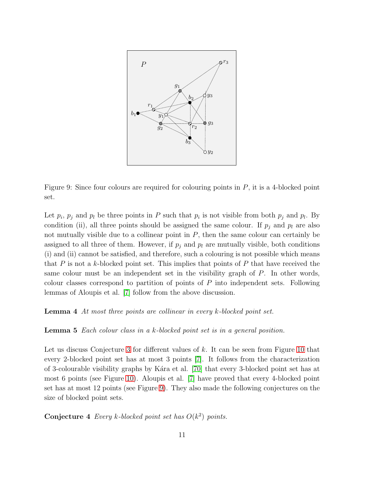

<span id="page-10-0"></span>Figure 9: Since four colours are required for colouring points in P, it is a 4-blocked point set.

Let  $p_i$ ,  $p_j$  and  $p_l$  be three points in P such that  $p_i$  is not visible from both  $p_j$  and  $p_l$ . By condition (ii), all three points should be assigned the same colour. If  $p_i$  and  $p_l$  are also not mutually visible due to a collinear point in  $P$ , then the same colour can certainly be assigned to all three of them. However, if  $p_i$  and  $p_l$  are mutually visible, both conditions (i) and (ii) cannot be satisfied, and therefore, such a colouring is not possible which means that  $P$  is not a k-blocked point set. This implies that points of  $P$  that have received the same colour must be an independent set in the visibility graph of P. In other words, colour classes correspond to partition of points of  $P$  into independent sets. Following lemmas of Aloupis et al. [\[7\]](#page-29-2) follow from the above discussion.

Lemma 4 At most three points are collinear in every k-blocked point set.

Lemma 5 Each colour class in a k-blocked point set is in a general position.

Let us discuss Conjecture [3](#page-9-1) for different values of k. It can be seen from Figure [10](#page-11-0) that every 2-blocked point set has at most 3 points [\[7\]](#page-29-2). It follows from the characterization of 3-colourable visibility graphs by K´ara et al. [\[70\]](#page-34-2) that every 3-blocked point set has at most 6 points (see Figure [10\)](#page-11-0). Aloupis et al. [\[7\]](#page-29-2) have proved that every 4-blocked point set has at most 12 points (see Figure [9\)](#page-10-0). They also made the following conjectures on the size of blocked point sets.

**Conjecture 4** Every k-blocked point set has  $O(k^2)$  points.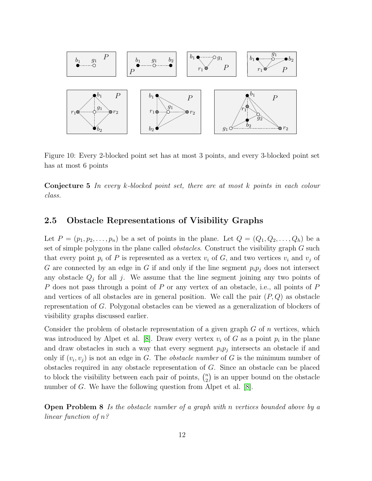

<span id="page-11-0"></span>Figure 10: Every 2-blocked point set has at most 3 points, and every 3-blocked point set has at most 6 points

Conjecture 5 In every k-blocked point set, there are at most k points in each colour class.

#### 2.5 Obstacle Representations of Visibility Graphs

Let  $P = (p_1, p_2, \ldots, p_n)$  be a set of points in the plane. Let  $Q = (Q_1, Q_2, \ldots, Q_h)$  be a set of simple polygons in the plane called *obstacles*. Construct the visibility graph G such that every point  $p_i$  of P is represented as a vertex  $v_i$  of G, and two vertices  $v_i$  and  $v_j$  of G are connected by an edge in G if and only if the line segment  $p_i p_j$  does not intersect any obstacle  $Q_j$  for all j. We assume that the line segment joining any two points of P does not pass through a point of P or any vertex of an obstacle, i.e., all points of P and vertices of all obstacles are in general position. We call the pair  $(P,Q)$  as obstacle representation of G. Polygonal obstacles can be viewed as a generalization of blockers of visibility graphs discussed earlier.

Consider the problem of obstacle representation of a given graph  $G$  of  $n$  vertices, which was introduced by Alpet et al. [\[8\]](#page-29-3). Draw every vertex  $v_i$  of G as a point  $p_i$  in the plane and draw obstacles in such a way that every segment  $p_i p_j$  intersects an obstacle if and only if  $(v_i, v_j)$  is not an edge in G. The *obstacle number* of G is the minimum number of obstacles required in any obstacle representation of G. Since an obstacle can be placed to block the visibility between each pair of points,  $\binom{n}{2}$  $\binom{n}{2}$  is an upper bound on the obstacle number of G. We have the following question from Alpet et al. [\[8\]](#page-29-3).

Open Problem 8 Is the obstacle number of a graph with n vertices bounded above by a linear function of n?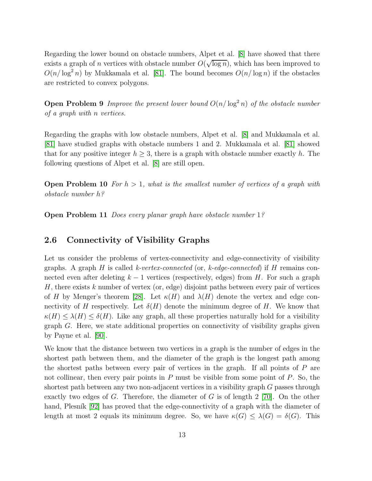Regarding the lower bound on obstacle numbers, Alpet et al. [\[8\]](#page-29-3) have showed that there exists a graph of *n* vertices with obstacle number  $O(\sqrt{\log n})$ , which has been improved to  $O(n/\log^2 n)$  by Mukkamala et al. [\[81\]](#page-34-6). The bound becomes  $O(n/\log n)$  if the obstacles are restricted to convex polygons.

**Open Problem 9** Improve the present lower bound  $O(n/\log^2 n)$  of the obstacle number of a graph with n vertices.

Regarding the graphs with low obstacle numbers, Alpet et al. [\[8\]](#page-29-3) and Mukkamala et al. [\[81\]](#page-34-6) have studied graphs with obstacle numbers 1 and 2. Mukkamala et al. [\[81\]](#page-34-6) showed that for any positive integer  $h > 3$ , there is a graph with obstacle number exactly h. The following questions of Alpet et al. [\[8\]](#page-29-3) are still open.

**Open Problem 10** For  $h > 1$ , what is the smallest number of vertices of a graph with obstacle number h?

Open Problem 11 Does every planar graph have obstacle number 1?

#### 2.6 Connectivity of Visibility Graphs

Let us consider the problems of vertex-connectivity and edge-connectivity of visibility graphs. A graph H is called k-vertex-connected (or, k-edge-connected) if H remains connected even after deleting  $k - 1$  vertices (respectively, edges) from H. For such a graph  $H$ , there exists k number of vertex (or, edge) disjoint paths between every pair of vertices of H by Menger's theorem [\[28\]](#page-30-3). Let  $\kappa(H)$  and  $\lambda(H)$  denote the vertex and edge connectivity of H respectively. Let  $\delta(H)$  denote the minimum degree of H. We know that  $\kappa(H) \leq \lambda(H) \leq \delta(H)$ . Like any graph, all these properties naturally hold for a visibility graph  $G$ . Here, we state additional properties on connectivity of visibility graphs given by Payne et al. [\[90\]](#page-35-8).

We know that the distance between two vertices in a graph is the number of edges in the shortest path between them, and the diameter of the graph is the longest path among the shortest paths between every pair of vertices in the graph. If all points of P are not collinear, then every pair points in  $P$  must be visible from some point of  $P$ . So, the shortest path between any two non-adjacent vertices in a visibility graph G passes through exactly two edges of G. Therefore, the diameter of G is of length  $2$  [\[70\]](#page-34-2). On the other hand, Plesník [\[92\]](#page-35-9) has proved that the edge-connectivity of a graph with the diameter of length at most 2 equals its minimum degree. So, we have  $\kappa(G) \leq \lambda(G) = \delta(G)$ . This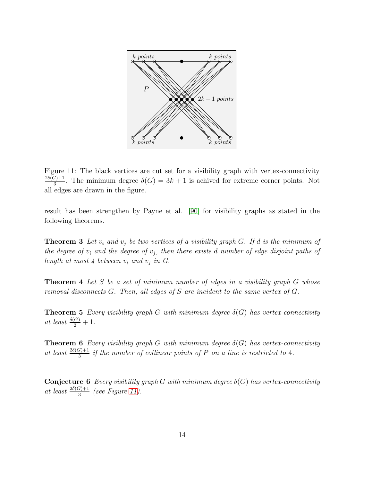

<span id="page-13-0"></span>Figure 11: The black vertices are cut set for a visibility graph with vertex-connectivity  $2\delta(G)+1$  $\frac{3}{3}$ . The minimum degree  $\delta(G) = 3k + 1$  is achived for extreme corner points. Not all edges are drawn in the figure.

result has been strengthen by Payne et al. [\[90\]](#page-35-8) for visibility graphs as stated in the following theorems.

**Theorem 3** Let  $v_i$  and  $v_j$  be two vertices of a visibility graph G. If d is the minimum of the degree of  $v_i$  and the degree of  $v_j$ , then there exists d number of edge disjoint paths of length at most 4 between  $v_i$  and  $v_j$  in G.

**Theorem 4** Let  $S$  be a set of minimum number of edges in a visibility graph  $G$  whose removal disconnects G. Then, all edges of S are incident to the same vertex of G.

**Theorem 5** Every visibility graph G with minimum degree  $\delta(G)$  has vertex-connectivity at least  $\frac{\delta(G)}{2}+1$ .

**Theorem 6** Every visibility graph G with minimum degree  $\delta(G)$  has vertex-connectivity at least  $\frac{2\delta(G)+1}{3}$  if the number of collinear points of P on a line is restricted to 4.

**Conjecture 6** Every visibility graph G with minimum degree  $\delta(G)$  has vertex-connectivity at least  $\frac{2\delta(G)+1}{3}$  (see Figure [11\)](#page-13-0).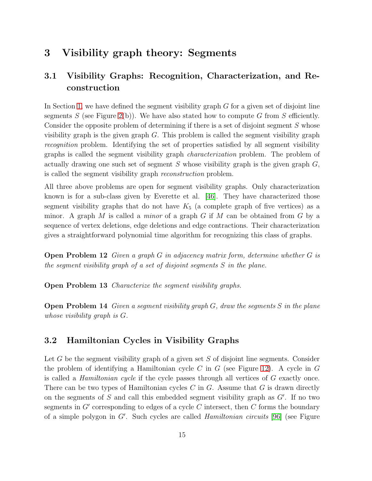## 3 Visibility graph theory: Segments

## 3.1 Visibility Graphs: Recognition, Characterization, and Reconstruction

In Section [1,](#page-0-1) we have defined the segment visibility graph  $G$  for a given set of disjoint line segments S (see Figure [2\(](#page-2-0)b)). We have also stated how to compute G from S efficiently. Consider the opposite problem of determining if there is a set of disjoint segment S whose visibility graph is the given graph  $G$ . This problem is called the segment visibility graph recognition problem. Identifying the set of properties satisfied by all segment visibility graphs is called the segment visibility graph characterization problem. The problem of actually drawing one such set of segment S whose visibility graph is the given graph  $G$ , is called the segment visibility graph reconstruction problem.

All three above problems are open for segment visibility graphs. Only characterization known is for a sub-class given by Everette et al. [\[46\]](#page-32-3). They have characterized those segment visibility graphs that do not have  $K_5$  (a complete graph of five vertices) as a minor. A graph M is called a *minor* of a graph  $G$  if M can be obtained from  $G$  by a sequence of vertex deletions, edge deletions and edge contractions. Their characterization gives a straightforward polynomial time algorithm for recognizing this class of graphs.

Open Problem 12 Given a graph G in adjacency matrix form, determine whether G is the segment visibility graph of a set of disjoint segments S in the plane.

**Open Problem 13** Characterize the segment visibility graphs.

**Open Problem 14** Given a segment visibility graph  $G$ , draw the segments S in the plane whose visibility graph is G.

#### 3.2 Hamiltonian Cycles in Visibility Graphs

Let G be the segment visibility graph of a given set S of disjoint line segments. Consider the problem of identifying a Hamiltonian cycle C in G (see Figure [12\)](#page-15-0). A cycle in  $G$ is called a Hamiltonian cycle if the cycle passes through all vertices of G exactly once. There can be two types of Hamiltonian cycles  $C$  in  $G$ . Assume that  $G$  is drawn directly on the segments of S and call this embedded segment visibility graph as  $G'$ . If no two segments in  $G'$  corresponding to edges of a cycle C intersect, then C forms the boundary of a simple polygon in  $G'$ . Such cycles are called *Hamiltonian circuits* [\[96\]](#page-35-10) (see Figure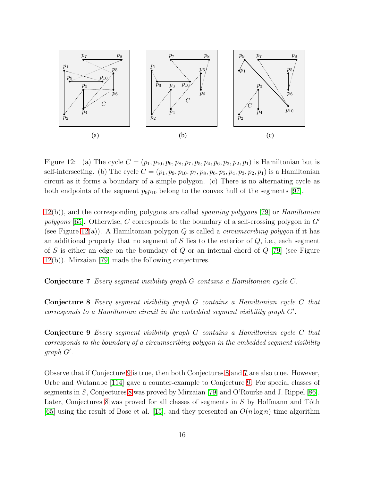

<span id="page-15-0"></span>Figure 12: (a) The cycle  $C = (p_1, p_{10}, p_9, p_8, p_7, p_5, p_4, p_6, p_3, p_2, p_1)$  is Hamiltonian but is self-intersecting. (b) The cycle  $C = (p_1, p_9, p_{10}, p_7, p_8, p_6, p_5, p_4, p_3, p_2, p_1)$  is a Hamiltonian circuit as it forms a boundary of a simple polygon. (c) There is no alternating cycle as both endpoints of the segment  $p_9p_{10}$  belong to the convex hull of the segments [\[97\]](#page-36-4).

 $12(b)$  $12(b)$ , and the corresponding polygons are called *spanning polygons* [\[79\]](#page-34-7) or *Hamiltonian* polygons [\[65\]](#page-33-6). Otherwise, C corresponds to the boundary of a self-crossing polygon in  $G'$ (see Figure [12\(](#page-15-0)a)). A Hamiltonian polygon Q is called a *circumscribing polygon* if it has an additional property that no segment of  $S$  lies to the exterior of  $Q$ , i.e., each segment of S is either an edge on the boundary of  $Q$  or an internal chord of  $Q$  [\[79\]](#page-34-7) (see Figure [12\(](#page-15-0)b)). Mirzaian [\[79\]](#page-34-7) made the following conjectures.

<span id="page-15-3"></span><span id="page-15-2"></span>Conjecture 7 Every segment visibility graph G contains a Hamiltonian cycle C.

Conjecture 8 Every segment visibility graph G contains a Hamiltonian cycle C that corresponds to a Hamiltonian circuit in the embedded segment visibility graph G′ .

<span id="page-15-1"></span>Conjecture 9 Every segment visibility graph G contains a Hamiltonian cycle C that corresponds to the boundary of a circumscribing polygon in the embedded segment visibility graph G′ .

Observe that if Conjecture [9](#page-15-1) is true, then both Conjectures [8](#page-15-2) and [7](#page-15-3) are also true. However, Urbe and Watanabe [\[114\]](#page-37-2) gave a counter-example to Conjecture [9.](#page-15-1) For special classes of segments in S, Conjectures [8](#page-15-2) was proved by Mirzaian [\[79\]](#page-34-7) and O'Rourke and J. Rippel [\[86\]](#page-35-11). Later, Conjectures [8](#page-15-2) was proved for all classes of segments in  $S$  by Hoffmann and Toth [\[65\]](#page-33-6) using the result of Bose et al. [\[15\]](#page-29-4), and they presented an  $O(n \log n)$  time algorithm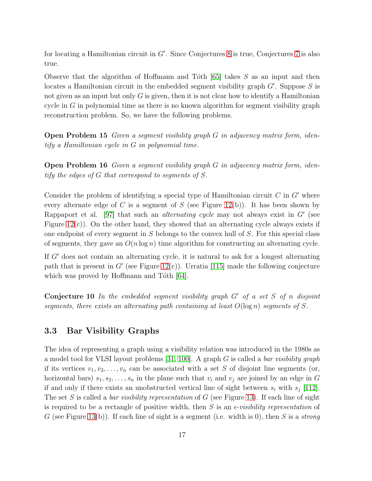for locating a Hamiltonian circuit in G′ . Since Conjectures [8](#page-15-2) is true, Conjectures [7](#page-15-3) is also true.

Observe that the algorithm of Hoffmann and Toth  $[65]$  takes S as an input and then locates a Hamiltonian circuit in the embedded segment visibility graph  $G'$ . Suppose S is not given as an input but only  $G$  is given, then it is not clear how to identify a Hamiltonian cycle in  $G$  in polynomial time as there is no known algorithm for segment visibility graph reconstruction problem. So, we have the following problems.

Open Problem 15 Given a segment visibility graph G in adjacency matrix form, identify a Hamiltonian cycle in G in polynomial time.

Open Problem 16 Given a segment visibility graph G in adjacency matrix form, identify the edges of G that correspond to segments of S.

Consider the problem of identifying a special type of Hamiltonian circuit  $C$  in  $G'$  where every alternate edge of  $C$  is a segment of  $S$  (see Figure [12\(](#page-15-0)b)). It has been shown by Rappaport et al. [\[97\]](#page-36-4) that such an *alternating cycle* may not always exist in  $G'$  (see Figure  $12(c)$ ). On the other hand, they showed that an alternating cycle always exists if one endpoint of every segment in  $S$  belongs to the convex hull of  $S$ . For this special class of segments, they gave an  $O(n \log n)$  time algorithm for constructing an alternating cycle.

If  $G'$  does not contain an alternating cycle, it is natural to ask for a longest alternating path that is present in  $G'$  (see Figure [12\(](#page-15-0)c)). Urratia [\[115\]](#page-37-3) made the following conjecture which was proved by Hoffmann and Tóth  $[64]$ .

**Conjecture 10** In the embedded segment visibility graph  $G'$  of a set S of n disjoint segments, there exists an alternating path containing at least  $O(\log n)$  segments of S.

#### 3.3 Bar Visibility Graphs

The idea of representing a graph using a visibility relation was introduced in the 1980s as a model tool for VLSI layout problems [\[31,](#page-31-7) [100\]](#page-36-5). A graph G is called a bar visibility graph if its vertices  $v_1, v_2, \ldots, v_n$  can be associated with a set S of disjoint line segments (or, horizontal bars)  $s_1, s_2, \ldots, s_n$  in the plane such that  $v_i$  and  $v_j$  are joined by an edge in G if and only if there exists an unobstructed vertical line of sight between  $s_i$  with  $s_j$  [\[112\]](#page-37-4). The set S is called a *bar visibility representation* of  $G$  (see Figure [13\)](#page-17-0). If each line of sight is required to be a rectangle of positive width, then S is an  $\epsilon$ -visibility representation of G (see Figure [13\(](#page-17-0)b)). If each line of sight is a segment (i.e. width is 0), then S is a *strong*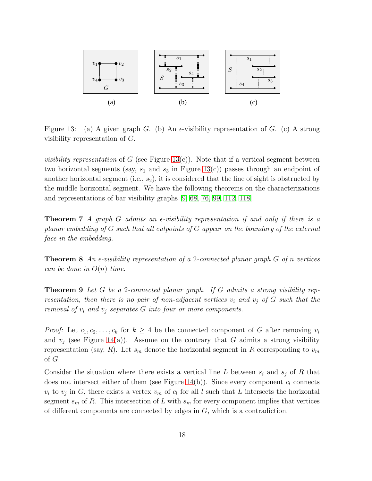

<span id="page-17-0"></span>Figure 13: (a) A given graph G. (b) An  $\epsilon$ -visibility representation of G. (c) A strong visibility representation of G.

*visibility representation* of G (see Figure [13\(](#page-17-0)c)). Note that if a vertical segment between two horizontal segments (say,  $s_1$  and  $s_3$  in Figure [13\(](#page-17-0)c)) passes through an endpoint of another horizontal segment (i.e.,  $s_2$ ), it is considered that the line of sight is obstructed by the middle horizontal segment. We have the following theorems on the characterizations and representations of bar visibility graphs [\[9,](#page-29-5) [68,](#page-33-8) [76,](#page-34-8) [99,](#page-36-6) [112,](#page-37-4) [118\]](#page-37-5).

**Theorem 7** A graph G admits an  $\epsilon$ -visibility representation if and only if there is a planar embedding of G such that all cutpoints of G appear on the boundary of the external face in the embedding.

**Theorem 8** An  $\epsilon$ -visibility representation of a 2-connected planar graph G of n vertices can be done in  $O(n)$  time.

**Theorem 9** Let  $G$  be a 2-connected planar graph. If  $G$  admits a strong visibility representation, then there is no pair of non-adjacent vertices  $v_i$  and  $v_j$  of G such that the removal of  $v_i$  and  $v_j$  separates G into four or more components.

*Proof:* Let  $c_1, c_2, \ldots, c_k$  for  $k \geq 4$  be the connected component of G after removing  $v_i$ and  $v_i$  (see Figure [14\(](#page-18-0)a)). Assume on the contrary that G admits a strong visibility representation (say, R). Let  $s_m$  denote the horizontal segment in R corresponding to  $v_m$ of G.

Consider the situation where there exists a vertical line L between  $s_i$  and  $s_j$  of R that does not intersect either of them (see Figure [14\(](#page-18-0)b)). Since every component  $c_l$  connects  $v_i$  to  $v_j$  in G, there exists a vertex  $v_m$  of  $c_l$  for all l such that L intersects the horizontal segment  $s_m$  of R. This intersection of L with  $s_m$  for every component implies that vertices of different components are connected by edges in  $G$ , which is a contradiction.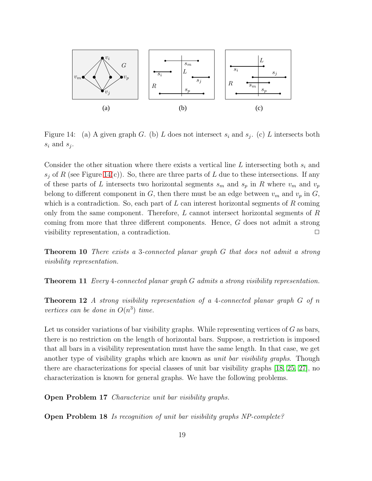

<span id="page-18-0"></span>Figure 14: (a) A given graph G. (b) L does not intersect  $s_i$  and  $s_j$ . (c) L intersects both  $s_i$  and  $s_j$ .

Consider the other situation where there exists a vertical line L intersecting both  $s_i$  and  $s_i$  of R (see Figure [14\(](#page-18-0)c)). So, there are three parts of L due to these intersections. If any of these parts of L intersects two horizontal segments  $s_m$  and  $s_p$  in R where  $v_m$  and  $v_p$ belong to different component in G, then there must be an edge between  $v_m$  and  $v_p$  in G, which is a contradiction. So, each part of  $L$  can interest horizontal segments of  $R$  coming only from the same component. Therefore,  $L$  cannot intersect horizontal segments of  $R$ coming from more that three different components. Hence, G does not admit a strong visibility representation, a contradiction.  $\Box$ 

**Theorem 10** There exists a 3-connected planar graph G that does not admit a strong visibility representation.

**Theorem 11** Every 4-connected planar graph  $G$  admits a strong visibility representation.

**Theorem 12** A strong visibility representation of a 4-connected planar graph  $G$  of n vertices can be done in  $O(n^3)$  time.

Let us consider variations of bar visibility graphs. While representing vertices of  $G$  as bars, there is no restriction on the length of horizontal bars. Suppose, a restriction is imposed that all bars in a visibility representation must have the same length. In that case, we get another type of visibility graphs which are known as *unit bar visibility graphs*. Though there are characterizations for special classes of unit bar visibility graphs [\[18,](#page-30-4) [25,](#page-30-5) [27\]](#page-30-6), no characterization is known for general graphs. We have the following problems.

Open Problem 17 Characterize unit bar visibility graphs.

Open Problem 18 Is recognition of unit bar visibility graphs NP-complete?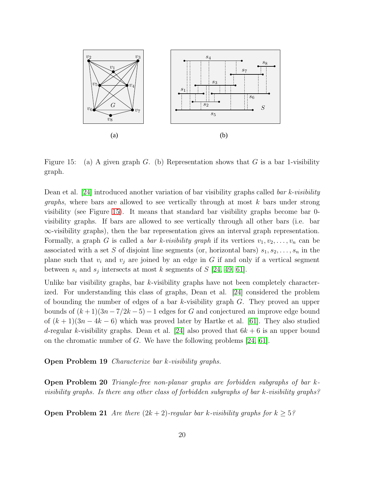

<span id="page-19-0"></span>Figure 15: (a) A given graph G. (b) Representation shows that G is a bar 1-visibility graph.

Dean et al.  $\left[24\right]$  introduced another variation of bar visibility graphs called *bar k-visibility graphs*, where bars are allowed to see vertically through at most  $k$  bars under strong visibility (see Figure [15\)](#page-19-0). It means that standard bar visibility graphs become bar 0 visibility graphs. If bars are allowed to see vertically through all other bars (i.e. bar ∞-visibility graphs), then the bar representation gives an interval graph representation. Formally, a graph G is called a *bar k-visibility graph* if its vertices  $v_1, v_2, \ldots, v_n$  can be associated with a set S of disjoint line segments (or, horizontal bars)  $s_1, s_2, \ldots, s_n$  in the plane such that  $v_i$  and  $v_j$  are joined by an edge in G if and only if a vertical segment between  $s_i$  and  $s_j$  intersects at most k segments of S [\[24,](#page-30-7) [49,](#page-32-4) [61\]](#page-33-9).

Unlike bar visibility graphs, bar  $k$ -visibility graphs have not been completely characterized. For understanding this class of graphs, Dean et al. [\[24\]](#page-30-7) considered the problem of bounding the number of edges of a bar k-visibility graph G. They proved an upper bounds of  $(k+1)(3n-7/2k-5)-1$  edges for G and conjectured an improve edge bound of  $(k+1)(3n-4k-6)$  which was proved later by Hartke et al. [\[61\]](#page-33-9). They also studied d-regular k-visibility graphs. Dean et al. [\[24\]](#page-30-7) also proved that  $6k + 6$  is an upper bound on the chromatic number of G. We have the following problems [\[24,](#page-30-7) [61\]](#page-33-9).

Open Problem 19 Characterize bar k-visibility graphs.

Open Problem 20 Triangle-free non-planar graphs are forbidden subgraphs of bar kvisibility graphs. Is there any other class of forbidden subgraphs of bar k-visibility graphs?

**Open Problem 21** Are there  $(2k + 2)$ -regular bar k-visibility graphs for  $k \geq 5$ ?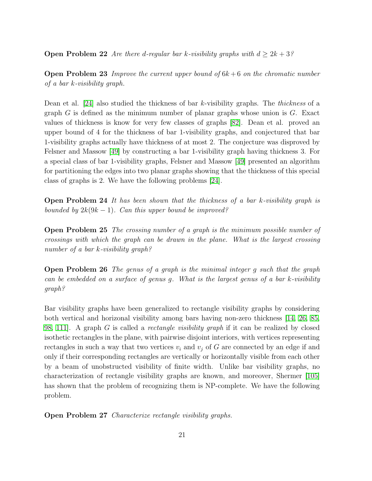**Open Problem 22** Are there d-regular bar k-visibility graphs with  $d > 2k + 3$ ?

**Open Problem 23** Improve the current upper bound of  $6k+6$  on the chromatic number of a bar k-visibility graph.

Dean et al. [\[24\]](#page-30-7) also studied the thickness of bar k-visibility graphs. The thickness of a graph  $G$  is defined as the minimum number of planar graphs whose union is  $G$ . Exact values of thickness is know for very few classes of graphs [\[82\]](#page-34-9). Dean et al. proved an upper bound of 4 for the thickness of bar 1-visibility graphs, and conjectured that bar 1-visibility graphs actually have thickness of at most 2. The conjecture was disproved by Felsner and Massow [\[49\]](#page-32-4) by constructing a bar 1-visibility graph having thickness 3. For a special class of bar 1-visibility graphs, Felsner and Massow [\[49\]](#page-32-4) presented an algorithm for partitioning the edges into two planar graphs showing that the thickness of this special class of graphs is 2. We have the following problems [\[24\]](#page-30-7).

**Open Problem 24** It has been shown that the thickness of a bar k-visibility graph is bounded by  $2k(9k-1)$ . Can this upper bound be improved?

**Open Problem 25** The crossing number of a graph is the minimum possible number of crossings with which the graph can be drawn in the plane. What is the largest crossing number of a bar k-visibility graph?

Open Problem 26 The genus of a graph is the minimal integer g such that the graph can be embedded on a surface of genus g. What is the largest genus of a bar k-visibility graph?

Bar visibility graphs have been generalized to rectangle visibility graphs by considering both vertical and horizonal visibility among bars having non-zero thickness [\[14,](#page-29-6) [26,](#page-30-8) [85,](#page-35-12) [98,](#page-36-7) [111\]](#page-37-6). A graph G is called a rectangle visibility graph if it can be realized by closed isothetic rectangles in the plane, with pairwise disjoint interiors, with vertices representing rectangles in such a way that two vertices  $v_i$  and  $v_j$  of G are connected by an edge if and only if their corresponding rectangles are vertically or horizontally visible from each other by a beam of unobstructed visibility of finite width. Unlike bar visibility graphs, no characterization of rectangle visibility graphs are known, and moreover, Shermer [\[105\]](#page-36-8) has shown that the problem of recognizing them is NP-complete. We have the following problem.

Open Problem 27 Characterize rectangle visibility graphs.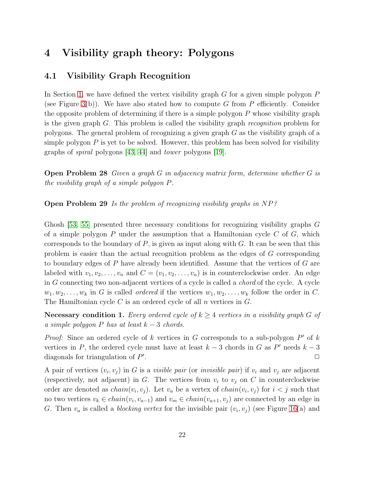## 4 Visibility graph theory: Polygons

#### 4.1 Visibility Graph Recognition

In Section [1,](#page-0-1) we have defined the vertex visibility graph  $G$  for a given simple polygon  $P$ (see Figure [3\(](#page-2-1)b)). We have also stated how to compute G from P efficiently. Consider the opposite problem of determining if there is a simple polygon  $P$  whose visibility graph is the given graph G. This problem is called the visibility graph recognition problem for polygons. The general problem of recognizing a given graph  $G$  as the visibility graph of a simple polygon  $P$  is yet to be solved. However, this problem has been solved for visibility graphs of spiral polygons [\[43,](#page-32-5) [44\]](#page-32-6) and tower polygons [\[19\]](#page-30-9).

Open Problem 28 Given a graph G in adjacency matrix form, determine whether G is the visibility graph of a simple polygon P.

Open Problem 29 Is the problem of recognizing visibility graphs in NP?

Ghosh [\[53,](#page-32-7) [55\]](#page-32-0) presented three necessary conditions for recognizing visibility graphs G of a simple polygon P under the assumption that a Hamiltonian cycle  $C$  of  $G$ , which corresponds to the boundary of  $P$ , is given as input along with  $G$ . It can be seen that this problem is easier than the actual recognition problem as the edges of G corresponding to boundary edges of P have already been identified. Assume that the vertices of G are labeled with  $v_1, v_2, \ldots, v_n$  and  $C = (v_1, v_2, \ldots, v_n)$  is in counterclockwise order. An edge in G connecting two non-adjacent vertices of a cycle is called a chord of the cycle. A cycle  $w_1, w_2, \ldots, w_k$  in G is called *ordered* if the vertices  $w_1, w_2, \ldots, w_k$  follow the order in C. The Hamiltonian cycle  $C$  is an ordered cycle of all  $n$  vertices in  $G$ .

**Necessary condition 1.** Every ordered cycle of  $k \geq 4$  vertices in a visibility graph G of a simple polygon P has at least  $k-3$  chords.

*Proof:* Since an ordered cycle of k vertices in G corresponds to a sub-polygon  $P'$  of k vertices in P, the ordered cycle must have at least  $k-3$  chords in G as P' needs  $k-3$ diagonals for triangulation of P' .  $\Box$ 

A pair of vertices  $(v_i, v_j)$  in G is a *visible pair* (or *invisible pair*) if  $v_i$  and  $v_j$  are adjacent (respectively, not adjacent) in G. The vertices from  $v_i$  to  $v_j$  on C in counterclockwise order are denoted as  $chain(v_i, v_j)$ . Let  $v_a$  be a vertex of  $chain(v_i, v_j)$  for  $i < j$  such that no two vertices  $v_k \in chain(v_i, v_{a-1})$  and  $v_m \in chain(v_{a+1}, v_j)$  are connected by an edge in G. Then  $v_a$  is called a *blocking vertex* for the invisible pair  $(v_i, v_j)$  (see Figure [16\(](#page-22-0)a) and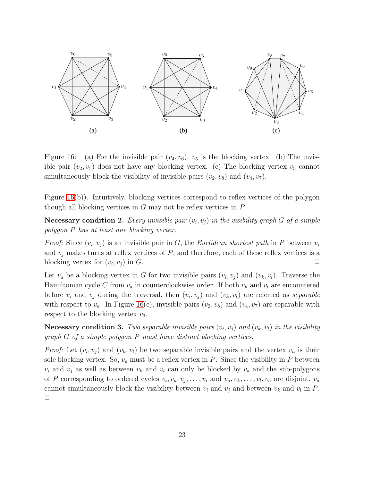

<span id="page-22-0"></span>Figure 16: (a) For the invisible pair  $(v_4, v_6)$ ,  $v_5$  is the blocking vertex. (b) The invisible pair  $(v_2, v_5)$  does not have any blocking vertex. (c) The blocking vertex  $v_3$  cannot simultaneously block the visibility of invisible pairs  $(v_2, v_8)$  and  $(v_4, v_7)$ .

Figure [16\(](#page-22-0)b)). Intuitively, blocking vertices correspond to reflex vertices of the polygon though all blocking vertices in  $G$  may not be reflex vertices in  $P$ .

**Necessary condition 2.** Every invisible pair  $(v_i, v_j)$  in the visibility graph G of a simple polygon P has at least one blocking vertex.

*Proof:* Since  $(v_i, v_j)$  is an invisible pair in G, the Euclidean shortest path in P between  $v_i$ and  $v_j$  makes turns at reflex vertices of  $P$ , and therefore, each of these reflex vertices is a blocking vertex for  $(v_i, v_j)$  in G.

Let  $v_a$  be a blocking vertex in G for two invisible pairs  $(v_i, v_j)$  and  $(v_k, v_l)$ . Traverse the Hamiltonian cycle C from  $v_a$  in counterclockwise order. If both  $v_k$  and  $v_l$  are encountered before  $v_i$  and  $v_j$  during the traversal, then  $(v_i, v_j)$  and  $(v_k, v_l)$  are referred as *separable* with respect to  $v_a$ . In Figure [16\(](#page-22-0)c), invisible pairs  $(v_2, v_8)$  and  $(v_4, v_7)$  are separable with respect to the blocking vertex  $v_3$ .

**Necessary condition 3.** Two separable invisible pairs  $(v_i, v_j)$  and  $(v_k, v_l)$  in the visibility graph G of a simple polygon P must have distinct blocking vertices.

*Proof:* Let  $(v_i, v_j)$  and  $(v_k, v_l)$  be two separable invisible pairs and the vertex  $v_a$  is their sole blocking vertex. So,  $v_a$  must be a reflex vertex in P. Since the visibility in P between  $v_i$  and  $v_j$  as well as between  $v_k$  and  $v_l$  can only be blocked by  $v_a$  and the sub-polygons of P corresponding to ordered cycles  $v_i, v_a, v_j, \ldots, v_i$  and  $v_a, v_k, \ldots, v_l, v_a$  are disjoint,  $v_a$ cannot simultaneously block the visibility between  $v_i$  and  $v_j$  and between  $v_k$  and  $v_l$  in P.  $\Box$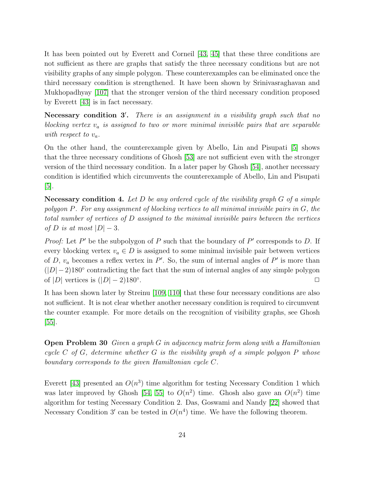It has been pointed out by Everett and Corneil [\[43,](#page-32-5) [45\]](#page-32-8) that these three conditions are not sufficient as there are graphs that satisfy the three necessary conditions but are not visibility graphs of any simple polygon. These counterexamples can be eliminated once the third necessary condition is strengthened. It have been shown by Srinivasraghavan and Mukhopadhyay [\[107\]](#page-36-9) that the stronger version of the third necessary condition proposed by Everett [\[43\]](#page-32-5) is in fact necessary.

Necessary condition 3'. There is an assignment in a visibility graph such that no blocking vertex  $v_a$  is assigned to two or more minimal invisible pairs that are separable with respect to  $v_a$ .

On the other hand, the counterexample given by Abello, Lin and Pisupati [\[5\]](#page-29-7) shows that the three necessary conditions of Ghosh [\[53\]](#page-32-7) are not sufficient even with the stronger version of the third necessary condition. In a later paper by Ghosh [\[54\]](#page-32-9), another necessary condition is identified which circumvents the counterexample of Abello, Lin and Pisupati [\[5\]](#page-29-7).

**Necessary condition 4.** Let D be any ordered cycle of the visibility graph  $G$  of a simple polygon P. For any assignment of blocking vertices to all minimal invisible pairs in G, the total number of vertices of D assigned to the minimal invisible pairs between the vertices of D is at most  $|D|-3$ .

*Proof:* Let  $P'$  be the subpolygon of  $P$  such that the boundary of  $P'$  corresponds to  $D$ . If every blocking vertex  $v_a \in D$  is assigned to some minimal invisible pair between vertices of D,  $v_a$  becomes a reflex vertex in P'. So, the sum of internal angles of P' is more than  $(|D|-2)180°$  contradicting the fact that the sum of internal angles of any simple polygon of |D| vertices is  $(|D|-2)180^{\circ}$ . . ✷

It has been shown later by Streinu [\[109,](#page-36-10) [110\]](#page-36-11) that these four necessary conditions are also not sufficient. It is not clear whether another necessary condition is required to circumvent the counter example. For more details on the recognition of visibility graphs, see Ghosh  $|55|$ .

Open Problem 30 Given a graph G in adjacency matrix form along with a Hamiltonian cycle  $C$  of  $G$ , determine whether  $G$  is the visibility graph of a simple polygon  $P$  whose boundary corresponds to the given Hamiltonian cycle C.

Everett [\[43\]](#page-32-5) presented an  $O(n^3)$  time algorithm for testing Necessary Condition 1 which was later improved by Ghosh [\[54,](#page-32-9) [55\]](#page-32-0) to  $O(n^2)$  time. Ghosh also gave an  $O(n^2)$  time algorithm for testing Necessary Condition 2. Das, Goswami and Nandy [\[22\]](#page-30-10) showed that Necessary Condition 3' can be tested in  $O(n^4)$  time. We have the following theorem.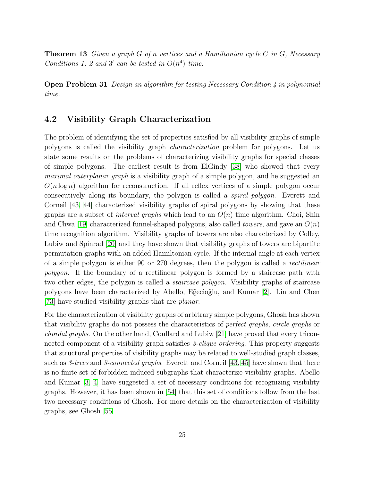**Theorem 13** Given a graph G of n vertices and a Hamiltonian cycle C in G, Necessary Conditions 1, 2 and 3' can be tested in  $O(n^4)$  time.

Open Problem 31 Design an algorithm for testing Necessary Condition 4 in polynomial time.

#### 4.2 Visibility Graph Characterization

The problem of identifying the set of properties satisfied by all visibility graphs of simple polygons is called the visibility graph characterization problem for polygons. Let us state some results on the problems of characterizing visibility graphs for special classes of simple polygons. The earliest result is from ElGindy [\[38\]](#page-31-8) who showed that every maximal outerplanar graph is a visibility graph of a simple polygon, and he suggested an  $O(n \log n)$  algorithm for reconstruction. If all reflex vertices of a simple polygon occur consecutively along its boundary, the polygon is called a spiral polygon. Everett and Corneil [\[43,](#page-32-5) [44\]](#page-32-6) characterized visibility graphs of spiral polygons by showing that these graphs are a subset of *interval graphs* which lead to an  $O(n)$  time algorithm. Choi, Shin and Chwa [\[19\]](#page-30-9) characterized funnel-shaped polygons, also called *towers*, and gave an  $O(n)$ time recognition algorithm. Visibility graphs of towers are also characterized by Colley, Lubiw and Spinrad [\[20\]](#page-30-11) and they have shown that visibility graphs of towers are bipartite permutation graphs with an added Hamiltonian cycle. If the internal angle at each vertex of a simple polygon is either 90 or 270 degrees, then the polygon is called a rectilinear polygon. If the boundary of a rectilinear polygon is formed by a staircase path with two other edges, the polygon is called a staircase polygon. Visibility graphs of staircase polygons have been characterized by Abello, E˜gecio˜glu, and Kumar [\[2\]](#page-28-1). Lin and Chen [\[73\]](#page-34-10) have studied visibility graphs that are planar.

For the characterization of visibility graphs of arbitrary simple polygons, Ghosh has shown that visibility graphs do not possess the characteristics of perfect graphs, circle graphs or chordal graphs. On the other hand, Coullard and Lubiw [\[21\]](#page-30-12) have proved that every triconnected component of a visibility graph satisfies 3-*clique ordering*. This property suggests that structural properties of visibility graphs may be related to well-studied graph classes, such as 3-trees and 3-connected graphs. Everett and Corneil [\[43,](#page-32-5) [45\]](#page-32-8) have shown that there is no finite set of forbidden induced subgraphs that characterize visibility graphs. Abello and Kumar [\[3,](#page-28-2) [4\]](#page-29-8) have suggested a set of necessary conditions for recognizing visibility graphs. However, it has been shown in [\[54\]](#page-32-9) that this set of conditions follow from the last two necessary conditions of Ghosh. For more details on the characterization of visibility graphs, see Ghosh [\[55\]](#page-32-0).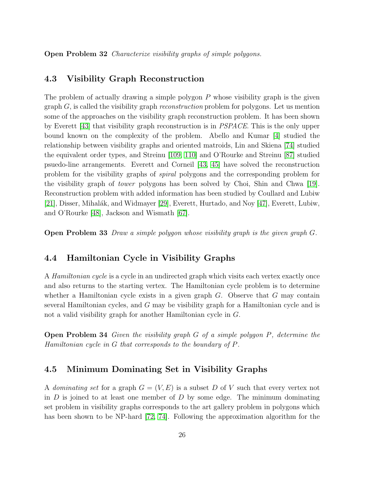Open Problem 32 Characterize visibility graphs of simple polygons.

#### 4.3 Visibility Graph Reconstruction

The problem of actually drawing a simple polygon  $P$  whose visibility graph is the given  $graph G$ , is called the visibility graph *reconstruction* problem for polygons. Let us mention some of the approaches on the visibility graph reconstruction problem. It has been shown by Everett [\[43\]](#page-32-5) that visibility graph reconstruction is in PSPACE. This is the only upper bound known on the complexity of the problem. Abello and Kumar [\[4\]](#page-29-8) studied the relationship between visibility graphs and oriented matroids, Lin and Skiena [\[74\]](#page-34-11) studied the equivalent order types, and Streinu [\[109,](#page-36-10) [110\]](#page-36-11) and O'Rourke and Streinu [\[87\]](#page-35-13) studied psuedo-line arrangements. Everett and Corneil [\[43,](#page-32-5) [45\]](#page-32-8) have solved the reconstruction problem for the visibility graphs of spiral polygons and the corresponding problem for the visibility graph of tower polygons has been solved by Choi, Shin and Chwa [\[19\]](#page-30-9). Reconstruction problem with added information has been studied by Coullard and Lubiw [\[21\]](#page-30-12), Disser, Mihalák, and Widmayer [\[29\]](#page-30-13), Everett, Hurtado, and Noy [\[47\]](#page-32-10), Everett, Lubiw, and O'Rourke [\[48\]](#page-32-11), Jackson and Wismath [\[67\]](#page-33-10).

Open Problem 33 Draw a simple polygon whose visibility graph is the given graph G.

#### 4.4 Hamiltonian Cycle in Visibility Graphs

A Hamiltonian cycle is a cycle in an undirected graph which visits each vertex exactly once and also returns to the starting vertex. The Hamiltonian cycle problem is to determine whether a Hamiltonian cycle exists in a given graph  $G$ . Observe that  $G$  may contain several Hamiltonian cycles, and G may be visibility graph for a Hamiltonian cycle and is not a valid visibility graph for another Hamiltonian cycle in G.

Open Problem 34 Given the visibility graph G of a simple polygon P, determine the Hamiltonian cycle in G that corresponds to the boundary of P.

#### 4.5 Minimum Dominating Set in Visibility Graphs

A dominating set for a graph  $G = (V, E)$  is a subset D of V such that every vertex not in  $D$  is joined to at least one member of  $D$  by some edge. The minimum dominating set problem in visibility graphs corresponds to the art gallery problem in polygons which has been shown to be NP-hard [\[72,](#page-34-12) [74\]](#page-34-11). Following the approximation algorithm for the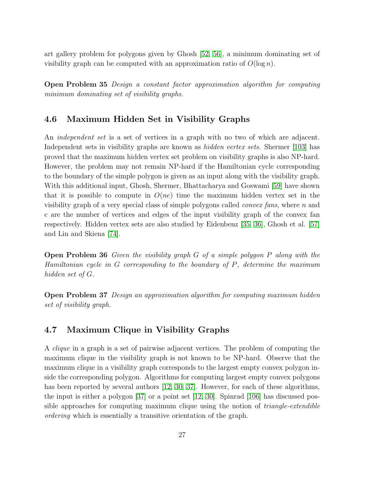art gallery problem for polygons given by Ghosh [\[52,](#page-32-12) [56\]](#page-33-11), a minimum dominating set of visibility graph can be computed with an approximation ratio of  $O(\log n)$ .

Open Problem 35 Design a constant factor approximation algorithm for computing minimum dominating set of visibility graphs.

### 4.6 Maximum Hidden Set in Visibility Graphs

An *independent set* is a set of vertices in a graph with no two of which are adjacent. Independent sets in visibility graphs are known as *hidden vertex sets*. Shermer [\[103\]](#page-36-12) has proved that the maximum hidden vertex set problem on visibility graphs is also NP-hard. However, the problem may not remain NP-hard if the Hamiltonian cycle corresponding to the boundary of the simple polygon is given as an input along with the visibility graph. With this additional input, Ghosh, Shermer, Bhattacharya and Goswami [\[59\]](#page-33-12) have shown that it is possible to compute in  $O(ne)$  time the maximum hidden vertex set in the visibility graph of a very special class of simple polygons called *convex fans*, where  $n$  and e are the number of vertices and edges of the input visibility graph of the convex fan respectively. Hidden vertex sets are also studied by Eidenbenz [\[35,](#page-31-9) [36\]](#page-31-10), Ghosh et al. [\[57\]](#page-33-13) and Lin and Skiena [\[74\]](#page-34-11).

Open Problem 36 Given the visibility graph G of a simple polygon P along with the Hamiltonian cycle in G corresponding to the boundary of P, determine the maximum hidden set of G.

Open Problem 37 Design an approximation algorithm for computing maximum hidden set of visibility graph.

### 4.7 Maximum Clique in Visibility Graphs

A clique in a graph is a set of pairwise adjacent vertices. The problem of computing the maximum clique in the visibility graph is not known to be NP-hard. Observe that the maximum clique in a visibility graph corresponds to the largest empty convex polygon inside the corresponding polygon. Algorithms for computing largest empty convex polygons has been reported by several authors [\[12,](#page-29-9) [30,](#page-31-11) [37\]](#page-31-12). However, for each of these algorithms, the input is either a polygon  $|37|$  or a point set  $|12, 30|$ . Spinrad  $|106|$  has discussed possible approaches for computing maximum clique using the notion of *triangle-extendible* ordering which is essentially a transitive orientation of the graph.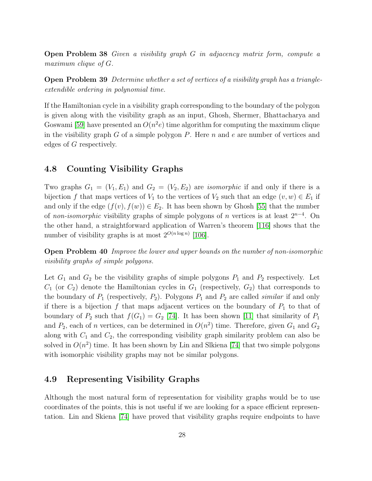Open Problem 38 Given a visibility graph G in adjacency matrix form, compute a maximum clique of G.

Open Problem 39 Determine whether a set of vertices of a visibility graph has a triangleextendible ordering in polynomial time.

If the Hamiltonian cycle in a visibility graph corresponding to the boundary of the polygon is given along with the visibility graph as an input, Ghosh, Shermer, Bhattacharya and Goswami [\[59\]](#page-33-12) have presented an  $O(n^2e)$  time algorithm for computing the maximum clique in the visibility graph  $G$  of a simple polygon  $P$ . Here  $n$  and  $e$  are number of vertices and edges of G respectively.

#### 4.8 Counting Visibility Graphs

Two graphs  $G_1 = (V_1, E_1)$  and  $G_2 = (V_2, E_2)$  are *isomorphic* if and only if there is a bijection f that maps vertices of  $V_1$  to the vertices of  $V_2$  such that an edge  $(v, w) \in E_1$  if and only if the edge  $(f(v), f(w)) \in E_2$ . It has been shown by Ghosh [\[55\]](#page-32-0) that the number of non-isomorphic visibility graphs of simple polygons of n vertices is at least  $2^{n-4}$ . On the other hand, a straightforward application of Warren's theorem [\[116\]](#page-37-7) shows that the number of visibility graphs is at most  $2^{O(n \log n)}$  [\[106\]](#page-36-13).

Open Problem 40 Improve the lower and upper bounds on the number of non-isomorphic visibility graphs of simple polygons.

Let  $G_1$  and  $G_2$  be the visibility graphs of simple polygons  $P_1$  and  $P_2$  respectively. Let  $C_1$  (or  $C_2$ ) denote the Hamiltonian cycles in  $G_1$  (respectively,  $G_2$ ) that corresponds to the boundary of  $P_1$  (respectively,  $P_2$ ). Polygons  $P_1$  and  $P_2$  are called *similar* if and only if there is a bijection f that maps adjacent vertices on the boundary of  $P_1$  to that of boundary of  $P_2$  such that  $f(G_1) = G_2$  [\[74\]](#page-34-11). It has been shown [\[11\]](#page-29-10) that similarity of  $P_1$ and  $P_2$ , each of n vertices, can be determined in  $O(n^2)$  time. Therefore, given  $G_1$  and  $G_2$ along with  $C_1$  and  $C_2$ , the corresponding visibility graph similarity problem can also be solved in  $O(n^2)$  time. It has been shown by Lin and Slkiena [\[74\]](#page-34-11) that two simple polygons with isomorphic visibility graphs may not be similar polygons.

#### 4.9 Representing Visibility Graphs

Although the most natural form of representation for visibility graphs would be to use coordinates of the points, this is not useful if we are looking for a space efficient representation. Lin and Skiena [\[74\]](#page-34-11) have proved that visibility graphs require endpoints to have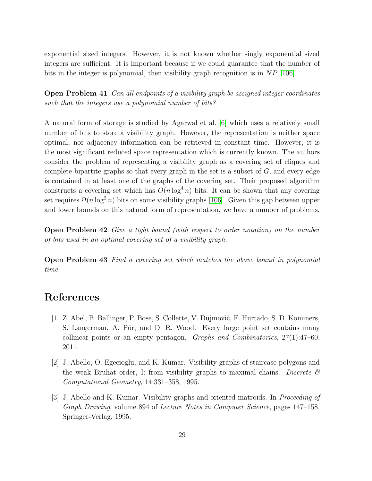exponential sized integers. However, it is not known whether singly exponential sized integers are sufficient. It is important because if we could guarantee that the number of bits in the integer is polynomial, then visibility graph recognition is in  $NP$  [\[106\]](#page-36-13).

Open Problem 41 Can all endpoints of a visibility graph be assigned integer coordinates such that the integers use a polynomial number of bits?

A natural form of storage is studied by Agarwal et al. [\[6\]](#page-29-11) which uses a relatively small number of bits to store a visibility graph. However, the representation is neither space optimal, nor adjacency information can be retrieved in constant time. However, it is the most significant reduced space representation which is currently known. The authors consider the problem of representing a visibility graph as a covering set of cliques and complete bipartite graphs so that every graph in the set is a subset of  $G$ , and every edge is contained in at least one of the graphs of the covering set. Their proposed algorithm constructs a covering set which has  $O(n \log^4 n)$  bits. It can be shown that any covering set requires  $\Omega(n \log^2 n)$  bits on some visibility graphs [\[106\]](#page-36-13). Given this gap between upper and lower bounds on this natural form of representation, we have a number of problems.

Open Problem 42 Give a tight bound (with respect to order notation) on the number of bits used in an optimal covering set of a visibility graph.

Open Problem 43 Find a covering set which matches the above bound in polynomial time.

## <span id="page-28-0"></span>References

- [1] Z. Abel, B. Ballinger, P. Bose, S. Collette, V. Dujmović, F. Hurtado, S. D. Kominers, S. Langerman, A. Pór, and D. R. Wood. Every large point set contains many collinear points or an empty pentagon. Graphs and Combinatorics,  $27(1):47-60$ , 2011.
- <span id="page-28-1"></span>[2] J. Abello, O. Egecioglu, and K. Kumar. Visibility graphs of staircase polygons and the weak Bruhat order, I: from visibility graphs to maximal chains. Discrete  $\mathcal{B}$ Computational Geometry, 14:331–358, 1995.
- <span id="page-28-2"></span>[3] J. Abello and K. Kumar. Visibility graphs and oriented matroids. In Proceeding of Graph Drawing, volume 894 of Lecture Notes in Computer Science, pages 147–158. Springer-Verlag, 1995.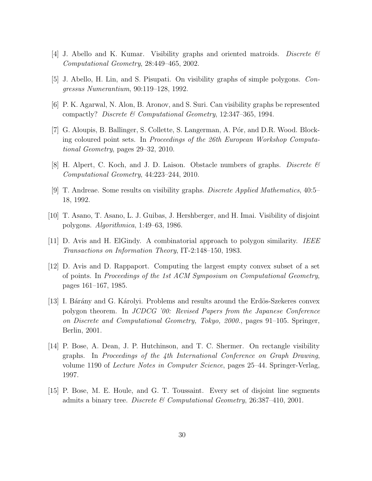- <span id="page-29-8"></span><span id="page-29-7"></span>[4] J. Abello and K. Kumar. Visibility graphs and oriented matroids. Discrete  $\mathcal C$ Computational Geometry, 28:449–465, 2002.
- <span id="page-29-11"></span>[5] J. Abello, H. Lin, and S. Pisupati. On visibility graphs of simple polygons. Congressus Numerantium, 90:119–128, 1992.
- <span id="page-29-2"></span>[6] P. K. Agarwal, N. Alon, B. Aronov, and S. Suri. Can visibility graphs be represented compactly? Discrete & Computational Geometry, 12:347–365, 1994.
- [7] G. Aloupis, B. Ballinger, S. Collette, S. Langerman, A. Pór, and D.R. Wood. Blocking coloured point sets. In Proceedings of the 26th European Workshop Computational Geometry, pages 29–32, 2010.
- <span id="page-29-5"></span><span id="page-29-3"></span>[8] H. Alpert, C. Koch, and J. D. Laison. Obstacle numbers of graphs. Discrete  $\mathcal{B}$ Computational Geometry, 44:223–244, 2010.
- <span id="page-29-0"></span>[9] T. Andreae. Some results on visibility graphs. Discrete Applied Mathematics, 40:5– 18, 1992.
- <span id="page-29-10"></span>[10] T. Asano, T. Asano, L. J. Guibas, J. Hershberger, and H. Imai. Visibility of disjoint polygons. Algorithmica, 1:49–63, 1986.
- <span id="page-29-9"></span>[11] D. Avis and H. ElGindy. A combinatorial approach to polygon similarity. IEEE Transactions on Information Theory, IT-2:148–150, 1983.
- [12] D. Avis and D. Rappaport. Computing the largest empty convex subset of a set of points. In Proceedings of the 1st ACM Symposium on Computational Geometry, pages 161–167, 1985.
- <span id="page-29-1"></span>[13] I. Bárány and G. Károlyi. Problems and results around the Erdös-Szekeres convex polygon theorem. In JCDCG '00: Revised Papers from the Japanese Conference on Discrete and Computational Geometry, Tokyo, 2000., pages 91–105. Springer, Berlin, 2001.
- <span id="page-29-6"></span>[14] P. Bose, A. Dean, J. P. Hutchinson, and T. C. Shermer. On rectangle visibility graphs. In Proceedings of the 4th International Conference on Graph Drawing, volume 1190 of Lecture Notes in Computer Science, pages 25–44. Springer-Verlag, 1997.
- <span id="page-29-4"></span>[15] P. Bose, M. E. Houle, and G. T. Toussaint. Every set of disjoint line segments admits a binary tree. Discrete  $\mathcal C$  Computational Geometry, 26:387-410, 2001.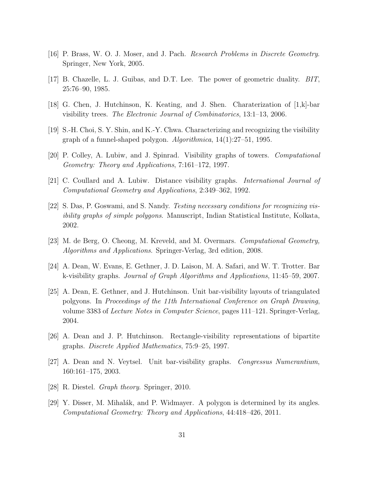- <span id="page-30-2"></span><span id="page-30-1"></span>[16] P. Brass, W. O. J. Moser, and J. Pach. Research Problems in Discrete Geometry. Springer, New York, 2005.
- <span id="page-30-4"></span>[17] B. Chazelle, L. J. Guibas, and D.T. Lee. The power of geometric duality. BIT, 25:76–90, 1985.
- <span id="page-30-9"></span>[18] G. Chen, J. Hutchinson, K. Keating, and J. Shen. Charaterization of [1,k]-bar visibility trees. The Electronic Journal of Combinatorics, 13:1–13, 2006.
- <span id="page-30-11"></span>[19] S.-H. Choi, S. Y. Shin, and K.-Y. Chwa. Characterizing and recognizing the visibility graph of a funnel-shaped polygon. Algorithmica, 14(1):27–51, 1995.
- <span id="page-30-12"></span>[20] P. Colley, A. Lubiw, and J. Spinrad. Visibility graphs of towers. Computational Geometry: Theory and Applications, 7:161–172, 1997.
- <span id="page-30-10"></span>[21] C. Coullard and A. Lubiw. Distance visibility graphs. International Journal of Computational Geometry and Applications, 2:349–362, 1992.
- [22] S. Das, P. Goswami, and S. Nandy. Testing necessary conditions for recognizing visibility graphs of simple polygons. Manuscript, Indian Statistical Institute, Kolkata, 2002.
- <span id="page-30-7"></span><span id="page-30-0"></span>[23] M. de Berg, O. Cheong, M. Kreveld, and M. Overmars. Computational Geometry, Algorithms and Applications. Springer-Verlag, 3rd edition, 2008.
- <span id="page-30-5"></span>[24] A. Dean, W. Evans, E. Gethner, J. D. Laison, M. A. Safari, and W. T. Trotter. Bar k-visibility graphs. Journal of Graph Algorithms and Applications, 11:45–59, 2007.
- [25] A. Dean, E. Gethner, and J. Hutchinson. Unit bar-visibility layouts of triangulated polgyons. In Proceedings of the 11th International Conference on Graph Drawing, volume 3383 of Lecture Notes in Computer Science, pages 111–121. Springer-Verlag, 2004.
- <span id="page-30-8"></span><span id="page-30-6"></span>[26] A. Dean and J. P. Hutchinson. Rectangle-visibility representations of bipartite graphs. Discrete Applied Mathematics, 75:9–25, 1997.
- <span id="page-30-3"></span>[27] A. Dean and N. Veytsel. Unit bar-visibility graphs. Congressus Numerantium, 160:161–175, 2003.
- <span id="page-30-13"></span>[28] R. Diestel. Graph theory. Springer, 2010.
- [29] Y. Disser, M. Mihalák, and P. Widmayer. A polygon is determined by its angles. Computational Geometry: Theory and Applications, 44:418–426, 2011.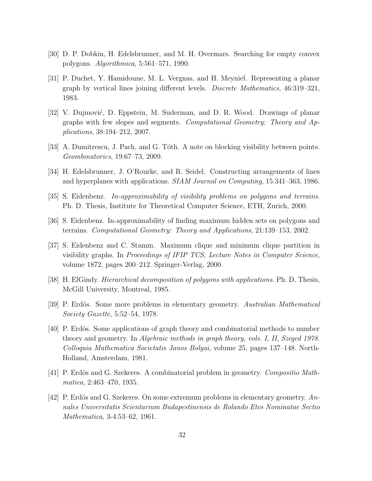- <span id="page-31-11"></span><span id="page-31-7"></span>[30] D. P. Dobkin, H. Edelsbrunner, and M. H. Overmars. Searching for empty convex polygons. Algorithmica, 5:561–571, 1990.
- [31] P. Duchet, Y. Hamidoune, M. L. Vergnas, and H. Meyniel. Representing a planar graph by vertical lines joining different levels. Discrete Mathematics, 46:319–321, 1983.
- <span id="page-31-1"></span>[32] V. Dujmović, D. Eppstein, M. Suderman, and D. R. Wood. Drawings of planar graphs with few slopes and segments. Computational Geometry: Theory and Applications, 38:194–212, 2007.
- <span id="page-31-6"></span><span id="page-31-0"></span>[33] A. Dumitrescu, J. Pach, and G. Tóth. A note on blocking visibility between points. Geombinatorics, 19:67–73, 2009.
- <span id="page-31-9"></span>[34] H. Edelsbrunner, J. O'Rourke, and R. Seidel. Constructing arrangements of lines and hyperplanes with applications. SIAM Journal on Computing, 15:341–363, 1986.
- <span id="page-31-10"></span>[35] S. Eidenbenz. In-approximability of visibility problems on polygons and terrains. Ph. D. Thesis, Institute for Theoretical Computer Science, ETH, Zurich, 2000.
- <span id="page-31-12"></span>[36] S. Eidenbenz. In-approximability of finding maximum hidden sets on polygons and terrains. Computational Geometry: Theory and Applications, 21:139–153, 2002.
- [37] S. Eidenbenz and C. Stamm. Maximum clique and minimum clique partition in visibility graphs. In Proceedings of IFIP TCS, Lecture Notes in Computer Science, volume 1872, pages 200–212. Springer-Verlag, 2000.
- <span id="page-31-8"></span><span id="page-31-4"></span>[38] H. ElGindy. Hierarchical decomposition of polygons with applications. Ph. D. Thesis, McGill University, Montreal, 1985.
- <span id="page-31-5"></span>[39] P. Erdös. Some more problems in elementary geometry. Australian Mathematical Society Gazette, 5:52–54, 1978.
- [40] P. Erdös. Some applications of graph theory and combinatorial methods to number theory and geometry. In Algebraic methods in graph theory, vols. I, II, Szeged 1978. Colloquia Mathematica Societatis Janos Bolyai, volume 25, pages 137–148. North-Holland, Amsterdam, 1981.
- <span id="page-31-3"></span><span id="page-31-2"></span> $[41]$  P. Erdös and G. Szekeres. A combinatorial problem in geometry. Compositio Mathmatica, 2:463–470, 1935.
- [42] P. Erdös and G. Szekeres. On some extremum problems in elementary geometry.  $An$ nales Universitatis Scientarium Budapestinensis de Rolando Etvs Nominatae Sectio Mathematica, 3-4:53–62, 1961.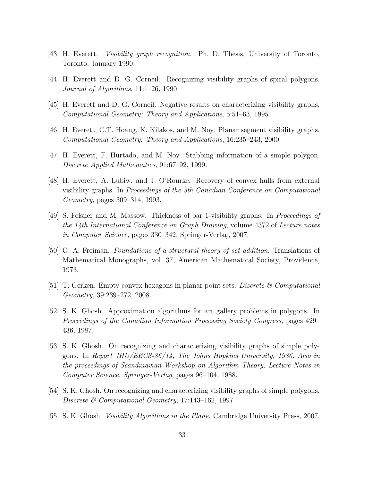- <span id="page-32-6"></span><span id="page-32-5"></span>[43] H. Everett. Visibility graph recognition. Ph. D. Thesis, University of Toronto, Toronto, January 1990.
- <span id="page-32-8"></span>[44] H. Everett and D. G. Corneil. Recognizing visibility graphs of spiral polygons. Journal of Algorithms, 11:1–26, 1990.
- <span id="page-32-3"></span>[45] H. Everett and D. G. Corneil. Negative results on characterizing visibility graphs. Computational Geometry: Theory and Applications, 5:51–63, 1995.
- <span id="page-32-10"></span>[46] H. Everett, C.T. Hoang, K. Kilakos, and M. Noy. Planar segment visibility graphs. Computational Geometry: Theory and Applications, 16:235–243, 2000.
- <span id="page-32-11"></span>[47] H. Everett, F. Hurtado, and M. Noy. Stabbing information of a simple polygon. Discrete Applied Mathematics, 91:67–92, 1999.
- [48] H. Everett, A. Lubiw, and J. O'Rourke. Recovery of convex hulls from external visibility graphs. In Proceedings of the 5th Canadian Conference on Computational Geometry, pages 309–314, 1993.
- <span id="page-32-4"></span>[49] S. Felsner and M. Massow. Thickness of bar 1-visibility graphs. In Proceedings of the 14th International Conference on Graph Drawing, volume 4372 of Lecture notes in Computer Science, pages 330–342. Springer-Verlag, 2007.
- <span id="page-32-2"></span>[50] G. A. Freiman. Foundations of a structural theory of set addition. Translations of Mathematical Monographs, vol. 37, American Mathematical Society, Providence, 1973.
- <span id="page-32-12"></span><span id="page-32-1"></span>[51] T. Gerken. Empty convex hexagons in planar point sets. Discrete  $\mathcal{C}$  Computational Geometry, 39:239–272, 2008.
- [52] S. K. Ghosh. Approximation algorithms for art gallery problems in polygons. In Proceedings of the Canadian Information Processing Society Congress, pages 429– 436, 1987.
- <span id="page-32-7"></span>[53] S. K. Ghosh. On recognizing and characterizing visibility graphs of simple polygons. In Report JHU/EECS-86/14, The Johns Hopkins University, 1986. Also in the proceedings of Scandinavian Workshop on Algorithm Theory, Lecture Notes in Computer Science, Springer-Verlag, pages 96–104, 1988.
- <span id="page-32-9"></span><span id="page-32-0"></span>[54] S. K. Ghosh. On recognizing and characterizing visibility graphs of simple polygons. Discrete & Computational Geometry, 17:143–162, 1997.
- [55] S. K. Ghosh. *Visibility Algorithms in the Plane*. Cambridge University Press, 2007.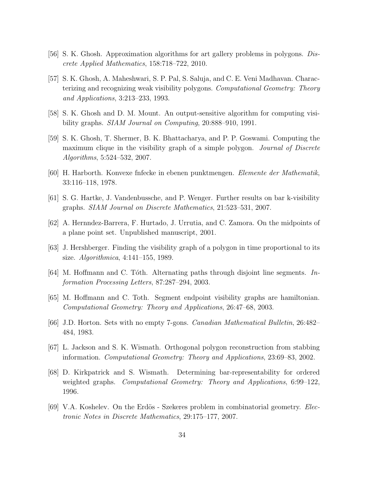- <span id="page-33-13"></span><span id="page-33-11"></span>[56] S. K. Ghosh. Approximation algorithms for art gallery problems in polygons. Discrete Applied Mathematics, 158:718–722, 2010.
- [57] S. K. Ghosh, A. Maheshwari, S. P. Pal, S. Saluja, and C. E. Veni Madhavan. Characterizing and recognizing weak visibility polygons. Computational Geometry: Theory and Applications, 3:213–233, 1993.
- <span id="page-33-12"></span><span id="page-33-1"></span>[58] S. K. Ghosh and D. M. Mount. An output-sensitive algorithm for computing visibility graphs. *SIAM Journal on Computing*, 20:888–910, 1991.
- [59] S. K. Ghosh, T. Shermer, B. K. Bhattacharya, and P. P. Goswami. Computing the maximum clique in the visibility graph of a simple polygon. Journal of Discrete Algorithms, 5:524–532, 2007.
- <span id="page-33-9"></span><span id="page-33-2"></span>[60] H. Harborth. Konvexe fnfecke in ebenen punktmengen. Elemente der Mathematik, 33:116–118, 1978.
- <span id="page-33-5"></span>[61] S. G. Hartke, J. Vandenbussche, and P. Wenger. Further results on bar k-visibility graphs. SIAM Journal on Discrete Mathematics, 21:523–531, 2007.
- <span id="page-33-0"></span>[62] A. Hernndez-Barrera, F. Hurtado, J. Urrutia, and C. Zamora. On the midpoints of a plane point set. Unpublished manuscript, 2001.
- <span id="page-33-7"></span>[63] J. Hershberger. Finding the visibility graph of a polygon in time proportional to its size. Algorithmica, 4:141–155, 1989.
- <span id="page-33-6"></span>[64] M. Hoffmann and C. Tóth. Alternating paths through disjoint line segments. Information Processing Letters, 87:287–294, 2003.
- <span id="page-33-4"></span>[65] M. Hoffmann and C. Toth. Segment endpoint visibility graphs are hamiltonian. Computational Geometry: Theory and Applications, 26:47–68, 2003.
- <span id="page-33-10"></span>[66] J.D. Horton. Sets with no empty 7-gons. Canadian Mathematical Bulletin, 26:482– 484, 1983.
- <span id="page-33-8"></span>[67] L. Jackson and S. K. Wismath. Orthogonal polygon reconstruction from stabbing information. Computational Geometry: Theory and Applications, 23:69–83, 2002.
- [68] D. Kirkpatrick and S. Wismath. Determining bar-representability for ordered weighted graphs. *Computational Geometry: Theory and Applications*, 6:99–122, 1996.
- <span id="page-33-3"></span>[69] V.A. Koshelev. On the Erdös - Szekeres problem in combinatorial geometry. *Elec*tronic Notes in Discrete Mathematics, 29:175–177, 2007.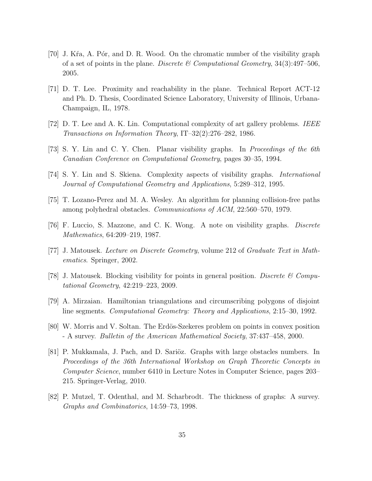- <span id="page-34-2"></span>[70] J. Kra, A. Por, and D. R. Wood. On the chromatic number of the visibility graph of a set of points in the plane. Discrete  $\mathcal C$  Computational Geometry, 34(3):497–506, 2005.
- <span id="page-34-1"></span>[71] D. T. Lee. Proximity and reachability in the plane. Technical Report ACT-12 and Ph. D. Thesis, Coordinated Science Laboratory, University of Illinois, Urbana-Champaign, IL, 1978.
- <span id="page-34-12"></span><span id="page-34-10"></span>[72] D. T. Lee and A. K. Lin. Computational complexity of art gallery problems. IEEE Transactions on Information Theory, IT–32(2):276–282, 1986.
- <span id="page-34-11"></span>[73] S. Y. Lin and C. Y. Chen. Planar visibility graphs. In Proceedings of the 6th Canadian Conference on Computational Geometry, pages 30–35, 1994.
- <span id="page-34-0"></span>[74] S. Y. Lin and S. Skiena. Complexity aspects of visibility graphs. International Journal of Computational Geometry and Applications, 5:289–312, 1995.
- <span id="page-34-8"></span>[75] T. Lozano-Perez and M. A. Wesley. An algorithm for planning collision-free paths among polyhedral obstacles. Communications of ACM, 22:560–570, 1979.
- <span id="page-34-4"></span>[76] F. Luccio, S. Mazzone, and C. K. Wong. A note on visibility graphs. Discrete Mathematics, 64:209–219, 1987.
- <span id="page-34-5"></span>[77] J. Matousek. Lecture on Discrete Geometry, volume 212 of Graduate Text in Mathematics. Springer, 2002.
- <span id="page-34-7"></span>[78] J. Matousek. Blocking visibility for points in general position. Discrete  $\mathscr{C}$  Computational Geometry, 42:219–223, 2009.
- <span id="page-34-3"></span>[79] A. Mirzaian. Hamiltonian triangulations and circumscribing polygons of disjoint line segments. Computational Geometry: Theory and Applications, 2:15–30, 1992.
- <span id="page-34-6"></span>[80] W. Morris and V. Soltan. The Erdös-Szekeres problem on points in convex position - A survey. Bulletin of the American Mathematical Society, 37:437–458, 2000.
- [81] P. Mukkamala, J. Pach, and D. Sariöz. Graphs with large obstacles numbers. In Proceedings of the 36th International Workshop on Graph Theoretic Concepts in Computer Science, number 6410 in Lecture Notes in Computer Science, pages 203– 215. Springer-Verlag, 2010.
- <span id="page-34-9"></span>[82] P. Mutzel, T. Odenthal, and M. Scharbrodt. The thickness of graphs: A survey. Graphs and Combinatorics, 14:59–73, 1998.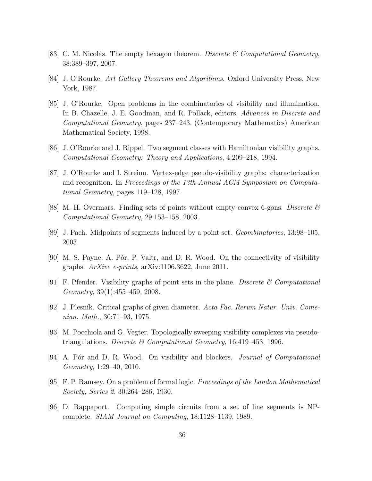- <span id="page-35-4"></span><span id="page-35-0"></span>[83] C. M. Nicolás. The empty hexagon theorem. Discrete  $\mathcal C$  Computational Geometry, 38:389–397, 2007.
- <span id="page-35-12"></span>[84] J. O'Rourke. Art Gallery Theorems and Algorithms. Oxford University Press, New York, 1987.
- [85] J. O'Rourke. Open problems in the combinatorics of visibility and illumination. In B. Chazelle, J. E. Goodman, and R. Pollack, editors, Advances in Discrete and Computational Geometry, pages 237–243. (Contemporary Mathematics) American Mathematical Society, 1998.
- <span id="page-35-13"></span><span id="page-35-11"></span>[86] J. O'Rourke and J. Rippel. Two segment classes with Hamiltonian visibility graphs. Computational Geometry: Theory and Applications, 4:209–218, 1994.
- [87] J. O'Rourke and I. Streinu. Vertex-edge pseudo-visibility graphs: characterization and recognition. In Proceedings of the 13th Annual ACM Symposium on Computational Geometry, pages 119–128, 1997.
- <span id="page-35-7"></span><span id="page-35-5"></span>[88] M. H. Overmars. Finding sets of points without empty convex 6-gons. Discrete  $\mathcal{C}$ Computational Geometry, 29:153–158, 2003.
- <span id="page-35-8"></span>[89] J. Pach. Midpoints of segments induced by a point set. Geombinatorics, 13:98–105, 2003.
- <span id="page-35-2"></span>[90] M. S. Payne, A. Por, P. Valtr, and D. R. Wood. On the connectivity of visibility graphs. ArXive e-prints, arXiv:1106.3622, June 2011.
- <span id="page-35-9"></span>[91] F. Pfender. Visibility graphs of point sets in the plane. Discrete  $\mathcal{B}$  Computational Geometry, 39(1):455–459, 2008.
- <span id="page-35-1"></span>[92] J. Plesník. Critical graphs of given diameter. Acta Fac. Rerum Natur. Univ. Comenian. Math., 30:71–93, 1975.
- <span id="page-35-6"></span>[93] M. Pocchiola and G. Vegter. Topologically sweeping visibility complexes via pseudotriangulations. Discrete & Computational Geometry, 16:419-453, 1996.
- <span id="page-35-3"></span>[94] A. Pór and D. R. Wood. On visibility and blockers. *Journal of Computational* Geometry, 1:29–40, 2010.
- <span id="page-35-10"></span>[95] F. P. Ramsey. On a problem of formal logic. Proceedings of the London Mathematical Society, Series 2, 30:264–286, 1930.
- [96] D. Rappaport. Computing simple circuits from a set of line segments is NPcomplete. SIAM Journal on Computing, 18:1128–1139, 1989.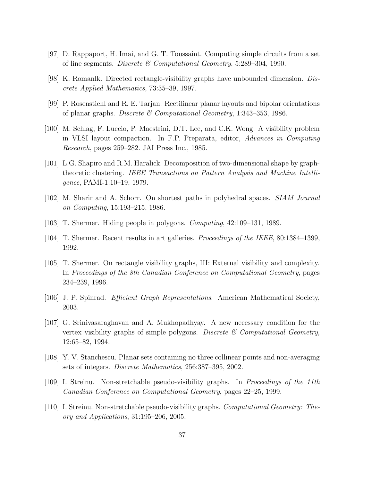- <span id="page-36-7"></span><span id="page-36-4"></span>[97] D. Rappaport, H. Imai, and G. T. Toussaint. Computing simple circuits from a set of line segments. Discrete  $\mathcal C$  Computational Geometry, 5:289–304, 1990.
- <span id="page-36-6"></span>[98] K. Romanlk. Directed rectangle-visibility graphs have unbounded dimension. Discrete Applied Mathematics, 73:35–39, 1997.
- <span id="page-36-5"></span>[99] P. Rosenstiehl and R. E. Tarjan. Rectilinear planar layouts and bipolar orientations of planar graphs. Discrete & Computational Geometry, 1:343-353, 1986.
- [100] M. Schlag, F. Luccio, P. Maestrini, D.T. Lee, and C.K. Wong. A visibility problem in VLSI layout compaction. In F.P. Preparata, editor, Advances in Computing Research, pages 259–282. JAI Press Inc., 1985.
- <span id="page-36-0"></span>[101] L.G. Shapiro and R.M. Haralick. Decomposition of two-dimensional shape by graphtheoretic clustering. IEEE Transactions on Pattern Analysis and Machine Intelligence, PAMI-1:10–19, 1979.
- <span id="page-36-12"></span><span id="page-36-2"></span>[102] M. Sharir and A. Schorr. On shortest paths in polyhedral spaces. SIAM Journal on Computing, 15:193–215, 1986.
- <span id="page-36-1"></span>[103] T. Shermer. Hiding people in polygons. Computing, 42:109–131, 1989.
- <span id="page-36-8"></span>[104] T. Shermer. Recent results in art galleries. Proceedings of the IEEE, 80:1384–1399, 1992.
- [105] T. Shermer. On rectangle visibility graphs, III: External visibility and complexity. In Proceedings of the 8th Canadian Conference on Computational Geometry, pages 234–239, 1996.
- <span id="page-36-13"></span><span id="page-36-9"></span>[106] J. P. Spinrad. Efficient Graph Representations. American Mathematical Society, 2003.
- [107] G. Srinivasaraghavan and A. Mukhopadhyay. A new necessary condition for the vertex visibility graphs of simple polygons. Discrete  $\mathcal B$  Computational Geometry, 12:65–82, 1994.
- <span id="page-36-10"></span><span id="page-36-3"></span>[108] Y. V. Stanchescu. Planar sets containing no three collinear points and non-averaging sets of integers. Discrete Mathematics, 256:387–395, 2002.
- <span id="page-36-11"></span>[109] I. Streinu. Non-stretchable pseudo-visibility graphs. In Proceedings of the 11th Canadian Conference on Computational Geometry, pages 22–25, 1999.
- [110] I. Streinu. Non-stretchable pseudo-visibility graphs. Computational Geometry: Theory and Applications, 31:195–206, 2005.